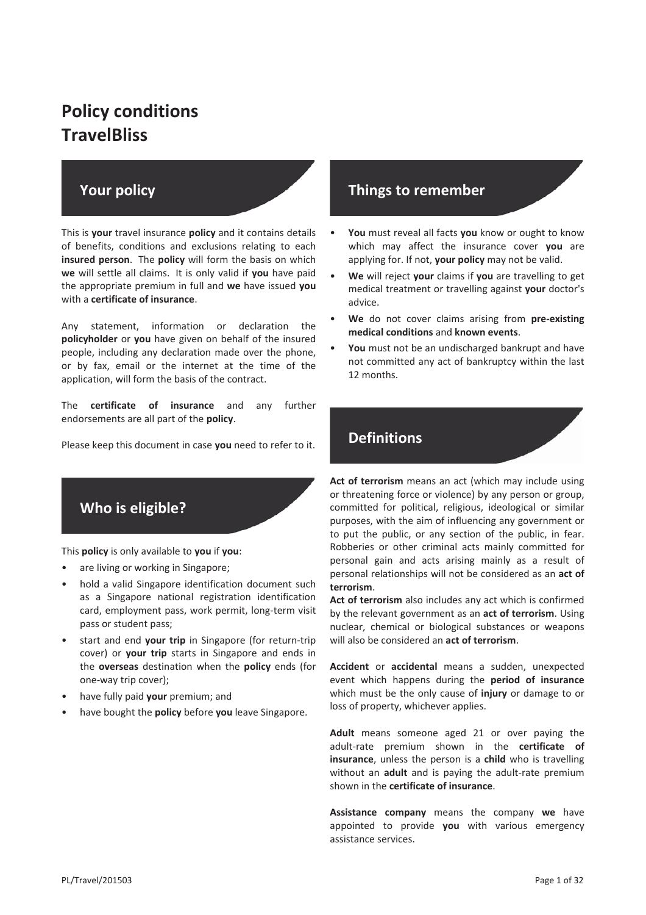# **Policy conditions TravelBliss**

# **Your policy**

This is **your** travel insurance **policy** and it contains details of benefits, conditions and exclusions relating to each **insured person**. The **policy** will form the basis on which **we** will settle all claims. It is only valid if **you** have paid the appropriate premium in full and **we** have issued **you** with a **certificate of insurance**.

Any statement, information or declaration the **policyholder** or **you** have given on behalf of the insured people, including any declaration made over the phone, or by fax, email or the internet at the time of the application, will form the basis of the contract.

The **certificate of insurance** and any further endorsements are all part of the **policy**.

Please keep this document in case **you** need to refer to it.



This **policy** is only available to **you** if **you**:

- are living or working in Singapore;
- hold a valid Singapore identification document such as a Singapore national registration identification card, employment pass, work permit, long-term visit pass or student pass;
- start and end **your trip** in Singapore (for return-trip cover) or **your trip** starts in Singapore and ends in the **overseas** destination when the **policy** ends (for one-way trip cover);
- have fully paid **your** premium; and
- have bought the **policy** before **you** leave Singapore.

# **Things to remember**

- **You** must reveal all facts **you** know or ought to know which may affect the insurance cover **you** are applying for. If not, **your policy** may not be valid.
- **We** will reject **your** claims if **you** are travelling to get medical treatment or travelling against **your** doctor's advice.
- **We** do not cover claims arising from **pre-existing medical conditions** and **known events**.
- You must not be an undischarged bankrupt and have not committed any act of bankruptcy within the last 12 months.

# **Definitions**

**Act of terrorism** means an act (which may include using or threatening force or violence) by any person or group, committed for political, religious, ideological or similar purposes, with the aim of influencing any government or to put the public, or any section of the public, in fear. Robberies or other criminal acts mainly committed for personal gain and acts arising mainly as a result of personal relationships will not be considered as an **act of terrorism**.

**Act of terrorism** also includes any act which is confirmed by the relevant government as an **act of terrorism**. Using nuclear, chemical or biological substances or weapons will also be considered an **act of terrorism**.

**Accident** or **accidental** means a sudden, unexpected event which happens during the **period of insurance** which must be the only cause of **injury** or damage to or loss of property, whichever applies.

**Adult** means someone aged 21 or over paying the adult-rate premium shown in the **certificate of insurance**, unless the person is a **child** who is travelling without an **adult** and is paying the adult-rate premium shown in the **certificate of insurance**.

**Assistance company** means the company **we** have appointed to provide **you** with various emergency assistance services.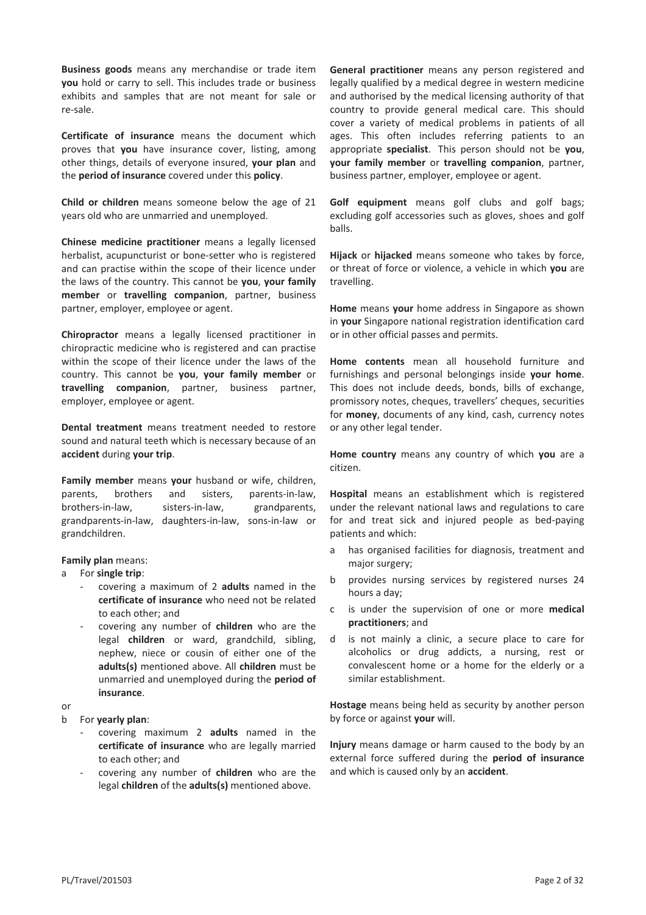**Business goods** means any merchandise or trade item **you** hold or carry to sell. This includes trade or business exhibits and samples that are not meant for sale or re-sale.

**Certificate of insurance** means the document which proves that **you** have insurance cover, listing, among other things, details of everyone insured, **your plan** and the **period of insurance** covered under this **policy**.

**Child or children** means someone below the age of 21 years old who are unmarried and unemployed.

**Chinese medicine practitioner** means a legally licensed herbalist, acupuncturist or bone-setter who is registered and can practise within the scope of their licence under the laws of the country. This cannot be **you**, **your family member** or **travelling companion**, partner, business partner, employer, employee or agent.

**Chiropractor** means a legally licensed practitioner in chiropractic medicine who is registered and can practise within the scope of their licence under the laws of the country. This cannot be **you**, **your family member** or **travelling companion**, partner, business partner, employer, employee or agent.

**Dental treatment** means treatment needed to restore sound and natural teeth which is necessary because of an **accident** during **your trip**.

**Family member** means **your** husband or wife, children, parents, brothers and sisters, parents-in-law, brothers-in-law, sisters-in-law, grandparents, grandparents-in-law, daughters-in-law, sons-in-law or grandchildren.

**Family plan** means:

#### a For **single trip**:

- covering a maximum of 2 **adults** named in the **certificate of insurance** who need not be related to each other; and
- covering any number of **children** who are the legal **children** or ward, grandchild, sibling, nephew, niece or cousin of either one of the **adults(s)** mentioned above. All **children** must be unmarried and unemployed during the **period of insurance**.

or

b For **yearly plan**:

- covering maximum 2 **adults** named in the **certificate of insurance** who are legally married to each other; and
- covering any number of **children** who are the legal **children** of the **adults(s)** mentioned above.

**General practitioner** means any person registered and legally qualified by a medical degree in western medicine and authorised by the medical licensing authority of that country to provide general medical care. This should cover a variety of medical problems in patients of all ages. This often includes referring patients to an appropriate **specialist**. This person should not be **you**, **your family member** or **travelling companion**, partner, business partner, employer, employee or agent.

**Golf equipment** means golf clubs and golf bags; excluding golf accessories such as gloves, shoes and golf balls.

**Hijack** or **hijacked** means someone who takes by force, or threat of force or violence, a vehicle in which **you** are travelling.

**Home** means **your** home address in Singapore as shown in **your** Singapore national registration identification card or in other official passes and permits.

**Home contents** mean all household furniture and furnishings and personal belongings inside **your home**. This does not include deeds, bonds, bills of exchange, promissory notes, cheques, travellers' cheques, securities for **money**, documents of any kind, cash, currency notes or any other legal tender.

**Home country** means any country of which **you** are a citizen.

**Hospital** means an establishment which is registered under the relevant national laws and regulations to care for and treat sick and injured people as bed-paying patients and which:

- a has organised facilities for diagnosis, treatment and major surgery;
- b provides nursing services by registered nurses 24 hours a day;
- c is under the supervision of one or more **medical practitioners**; and
- d is not mainly a clinic, a secure place to care for alcoholics or drug addicts, a nursing, rest or convalescent home or a home for the elderly or a similar establishment.

**Hostage** means being held as security by another person by force or against **your** will.

**Injury** means damage or harm caused to the body by an external force suffered during the **period of insurance** and which is caused only by an **accident**.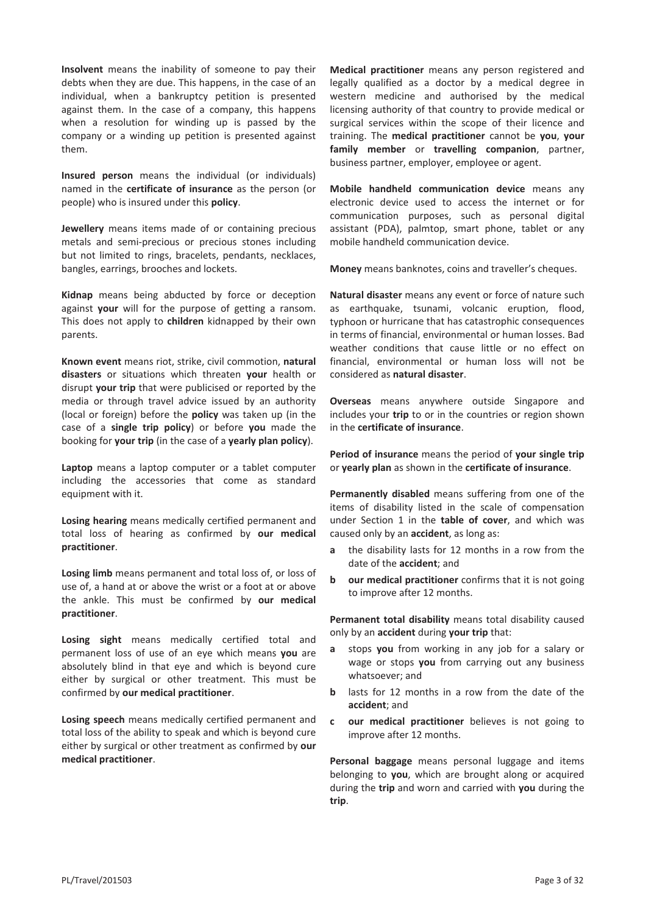**Insolvent** means the inability of someone to pay their debts when they are due. This happens, in the case of an individual, when a bankruptcy petition is presented against them. In the case of a company, this happens when a resolution for winding up is passed by the company or a winding up petition is presented against them.

**Insured person** means the individual (or individuals) named in the **certificate of insurance** as the person (or people) who is insured under this **policy**.

**Jewellery** means items made of or containing precious metals and semi-precious or precious stones including but not limited to rings, bracelets, pendants, necklaces, bangles, earrings, brooches and lockets.

**Kidnap** means being abducted by force or deception against **your** will for the purpose of getting a ransom. This does not apply to **children** kidnapped by their own parents.

**Known event** means riot, strike, civil commotion, **natural disasters** or situations which threaten **your** health or disrupt **your trip** that were publicised or reported by the media or through travel advice issued by an authority (local or foreign) before the **policy** was taken up (in the case of a **single trip policy**) or before **you** made the booking for **your trip** (in the case of a **yearly plan policy**).

**Laptop** means a laptop computer or a tablet computer including the accessories that come as standard equipment with it.

**Losing hearing** means medically certified permanent and total loss of hearing as confirmed by **our medical practitioner**.

**Losing limb** means permanent and total loss of, or loss of use of, a hand at or above the wrist or a foot at or above the ankle. This must be confirmed by **our medical practitioner**.

**Losing sight** means medically certified total and permanent loss of use of an eye which means **you** are absolutely blind in that eye and which is beyond cure either by surgical or other treatment. This must be confirmed by **our medical practitioner**.

**Losing speech** means medically certified permanent and total loss of the ability to speak and which is beyond cure either by surgical or other treatment as confirmed by **our medical practitioner**.

**Medical practitioner** means any person registered and legally qualified as a doctor by a medical degree in western medicine and authorised by the medical licensing authority of that country to provide medical or surgical services within the scope of their licence and training. The **medical practitioner** cannot be **you**, **your family member** or **travelling companion**, partner, business partner, employer, employee or agent.

**Mobile handheld communication device** means any electronic device used to access the internet or for communication purposes, such as personal digital assistant (PDA), palmtop, smart phone, tablet or any mobile handheld communication device.

**Money** means banknotes, coins and traveller's cheques.

**Natural disaster** means any event or force of nature such as earthquake, tsunami, volcanic eruption, flood, typhoon or hurricane that has catastrophic consequences in terms of financial, environmental or human losses. Bad weather conditions that cause little or no effect on financial, environmental or human loss will not be considered as **natural disaster**.

**Overseas** means anywhere outside Singapore and includes your **trip** to or in the countries or region shown in the **certificate of insurance**.

**Period of insurance** means the period of **your single trip** or **yearly plan** as shown in the **certificate of insurance**.

**Permanently disabled** means suffering from one of the items of disability listed in the scale of compensation under Section 1 in the **table of cover**, and which was caused only by an **accident**, as long as:

- **a** the disability lasts for 12 months in a row from the date of the **accident**; and
- **b** our medical practitioner confirms that it is not going to improve after 12 months.

**Permanent total disability** means total disability caused only by an **accident** during **your trip** that:

- **a** stops **you** from working in any job for a salary or wage or stops **you** from carrying out any business whatsoever; and
- **b** lasts for 12 months in a row from the date of the **accident**; and
- **c our medical practitioner** believes is not going to improve after 12 months.

**Personal baggage** means personal luggage and items belonging to **you**, which are brought along or acquired during the **trip** and worn and carried with **you** during the **trip**.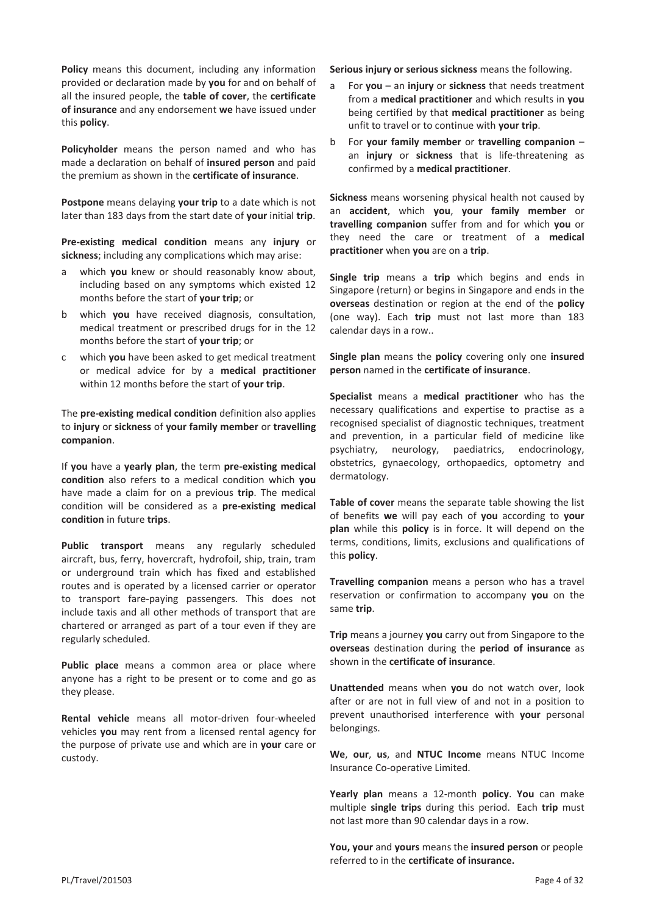**Policy** means this document, including any information provided or declaration made by **you** for and on behalf of all the insured people, the **table of cover**, the **certificate of insurance** and any endorsement **we** have issued under this **policy**.

**Policyholder** means the person named and who has made a declaration on behalf of **insured person** and paid the premium as shown in the **certificate of insurance**.

**Postpone** means delaying **your trip** to a date which is not later than 183 days from the start date of **your** initial **trip**.

**Pre-existing medical condition** means any **injury** or **sickness**; including any complications which may arise:

- a which **you** knew or should reasonably know about, including based on any symptoms which existed 12 months before the start of **your trip**; or
- b which **you** have received diagnosis, consultation, medical treatment or prescribed drugs for in the 12 months before the start of **your trip**; or
- c which **you** have been asked to get medical treatment or medical advice for by a **medical practitioner** within 12 months before the start of **your trip**.

The **pre-existing medical condition** definition also applies to **injury** or **sickness** of **your family member** or **travelling companion**.

If **you** have a **yearly plan**, the term **pre-existing medical condition** also refers to a medical condition which **you** have made a claim for on a previous **trip**. The medical condition will be considered as a **pre-existing medical condition** in future **trips**.

**Public transport** means any regularly scheduled aircraft, bus, ferry, hovercraft, hydrofoil, ship, train, tram or underground train which has fixed and established routes and is operated by a licensed carrier or operator to transport fare-paying passengers. This does not include taxis and all other methods of transport that are chartered or arranged as part of a tour even if they are regularly scheduled.

**Public place** means a common area or place where anyone has a right to be present or to come and go as they please.

**Rental vehicle** means all motor-driven four-wheeled vehicles **you** may rent from a licensed rental agency for the purpose of private use and which are in **your** care or custody.

**Serious injury or serious sickness** means the following.

- a For **you** an **injury** or **sickness** that needs treatment from a **medical practitioner** and which results in **you** being certified by that **medical practitioner** as being unfit to travel or to continue with **your trip**.
- b For **your family member** or **travelling companion** an **injury** or **sickness** that is life-threatening as confirmed by a **medical practitioner**.

**Sickness** means worsening physical health not caused by an **accident**, which **you**, **your family member** or **travelling companion** suffer from and for which **you** or they need the care or treatment of a **medical practitioner** when **you** are on a **trip**.

**Single trip** means a **trip** which begins and ends in Singapore (return) or begins in Singapore and ends in the **overseas** destination or region at the end of the **policy** (one way). Each **trip** must not last more than 183 calendar days in a row..

**Single plan** means the **policy** covering only one **insured person** named in the **certificate of insurance**.

**Specialist** means a **medical practitioner** who has the necessary qualifications and expertise to practise as a recognised specialist of diagnostic techniques, treatment and prevention, in a particular field of medicine like psychiatry, neurology, paediatrics, endocrinology, obstetrics, gynaecology, orthopaedics, optometry and dermatology.

**Table of cover** means the separate table showing the list of benefits **we** will pay each of **you** according to **your plan** while this **policy** is in force. It will depend on the terms, conditions, limits, exclusions and qualifications of this **policy**.

**Travelling companion** means a person who has a travel reservation or confirmation to accompany **you** on the same **trip**.

**Trip** means a journey **you** carry out from Singapore to the **overseas** destination during the **period of insurance** as shown in the **certificate of insurance**.

**Unattended** means when **you** do not watch over, look after or are not in full view of and not in a position to prevent unauthorised interference with **your** personal belongings.

**We**, **our**, **us**, and **NTUC Income** means NTUC Income Insurance Co-operative Limited.

**Yearly plan** means a 12-month **policy**. **You** can make multiple **single trips** during this period. Each **trip** must not last more than 90 calendar days in a row.

**You, your** and **yours** means the **insured person** or people referred to in the **certificate of insurance.**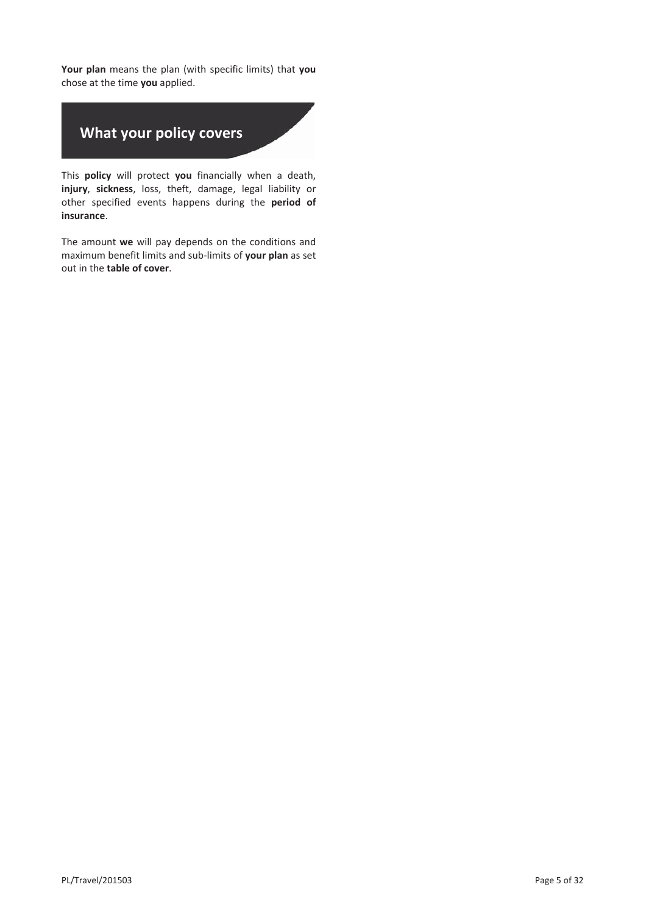**Your plan** means the plan (with specific limits) that **you** chose at the time **you** applied.

# **What your policy covers**

This **policy** will protect **you** financially when a death, **injury**, **sickness**, loss, theft, damage, legal liability or other specified events happens during the **period of insurance**.

The amount **we** will pay depends on the conditions and maximum benefit limits and sub-limits of **your plan** as set out in the **table of cover**.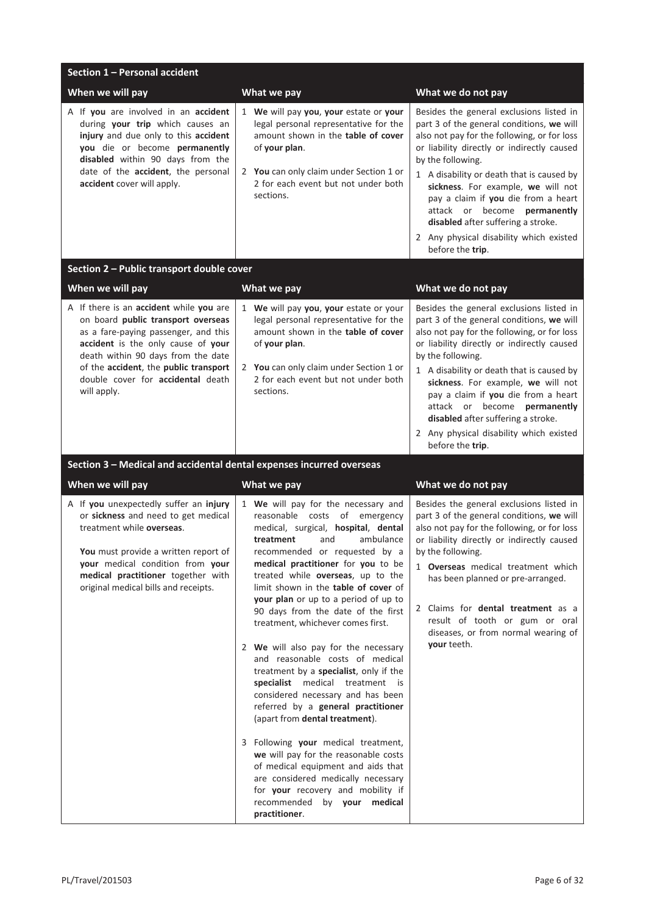| Section 1 - Personal accident                                                                                                                                                                                                                                                                  |                                                                                                                                                                                                                                                                                                                                                                                                                                                                                                                                                                                                                                                                                                                                                                                                                                                                                                                                                 |                                                                                                                                                                                                                                                                                                                                                                                                                                                                               |  |
|------------------------------------------------------------------------------------------------------------------------------------------------------------------------------------------------------------------------------------------------------------------------------------------------|-------------------------------------------------------------------------------------------------------------------------------------------------------------------------------------------------------------------------------------------------------------------------------------------------------------------------------------------------------------------------------------------------------------------------------------------------------------------------------------------------------------------------------------------------------------------------------------------------------------------------------------------------------------------------------------------------------------------------------------------------------------------------------------------------------------------------------------------------------------------------------------------------------------------------------------------------|-------------------------------------------------------------------------------------------------------------------------------------------------------------------------------------------------------------------------------------------------------------------------------------------------------------------------------------------------------------------------------------------------------------------------------------------------------------------------------|--|
| When we will pay                                                                                                                                                                                                                                                                               | What we pay                                                                                                                                                                                                                                                                                                                                                                                                                                                                                                                                                                                                                                                                                                                                                                                                                                                                                                                                     | What we do not pay                                                                                                                                                                                                                                                                                                                                                                                                                                                            |  |
| A If you are involved in an accident<br>during your trip which causes an<br>injury and due only to this accident<br>you die or become permanently<br>disabled within 90 days from the<br>date of the accident, the personal<br>accident cover will apply.                                      | 1 We will pay you, your estate or your<br>legal personal representative for the<br>amount shown in the table of cover<br>of your plan.<br>2 You can only claim under Section 1 or<br>2 for each event but not under both<br>sections.                                                                                                                                                                                                                                                                                                                                                                                                                                                                                                                                                                                                                                                                                                           | Besides the general exclusions listed in<br>part 3 of the general conditions, we will<br>also not pay for the following, or for loss<br>or liability directly or indirectly caused<br>by the following.<br>1 A disability or death that is caused by<br>sickness. For example, we will not<br>pay a claim if you die from a heart<br>attack or become <b>permanently</b><br>disabled after suffering a stroke.<br>2 Any physical disability which existed<br>before the trip. |  |
| Section 2 - Public transport double cover                                                                                                                                                                                                                                                      |                                                                                                                                                                                                                                                                                                                                                                                                                                                                                                                                                                                                                                                                                                                                                                                                                                                                                                                                                 |                                                                                                                                                                                                                                                                                                                                                                                                                                                                               |  |
| When we will pay                                                                                                                                                                                                                                                                               | What we pay                                                                                                                                                                                                                                                                                                                                                                                                                                                                                                                                                                                                                                                                                                                                                                                                                                                                                                                                     | What we do not pay                                                                                                                                                                                                                                                                                                                                                                                                                                                            |  |
| A If there is an accident while you are<br>on board public transport overseas<br>as a fare-paying passenger, and this<br>accident is the only cause of your<br>death within 90 days from the date<br>of the accident, the public transport<br>double cover for accidental death<br>will apply. | 1 We will pay you, your estate or your<br>legal personal representative for the<br>amount shown in the table of cover<br>of your plan.<br>2 You can only claim under Section 1 or<br>2 for each event but not under both<br>sections.                                                                                                                                                                                                                                                                                                                                                                                                                                                                                                                                                                                                                                                                                                           | Besides the general exclusions listed in<br>part 3 of the general conditions, we will<br>also not pay for the following, or for loss<br>or liability directly or indirectly caused<br>by the following.<br>1 A disability or death that is caused by<br>sickness. For example, we will not<br>pay a claim if you die from a heart<br>attack or become permanently<br>disabled after suffering a stroke.<br>2 Any physical disability which existed<br>before the trip.        |  |
| Section 3 - Medical and accidental dental expenses incurred overseas                                                                                                                                                                                                                           |                                                                                                                                                                                                                                                                                                                                                                                                                                                                                                                                                                                                                                                                                                                                                                                                                                                                                                                                                 |                                                                                                                                                                                                                                                                                                                                                                                                                                                                               |  |
| When we will pay                                                                                                                                                                                                                                                                               | What we pay                                                                                                                                                                                                                                                                                                                                                                                                                                                                                                                                                                                                                                                                                                                                                                                                                                                                                                                                     | What we do not pay                                                                                                                                                                                                                                                                                                                                                                                                                                                            |  |
| A If you unexpectedly suffer an injury<br>or sickness and need to get medical<br>treatment while overseas.<br>You must provide a written report of<br>your medical condition from your<br>medical practitioner together with<br>original medical bills and receipts.                           | 1 We will pay for the necessary and<br>reasonable costs of emergency<br>medical, surgical, hospital, dental<br>and<br>ambulance<br>treatment<br>recommended or requested by a<br>medical practitioner for you to be<br>treated while overseas, up to the<br>limit shown in the table of cover of<br><b>your plan</b> or up to a period of up to<br>90 days from the date of the first<br>treatment, whichever comes first.<br>2 We will also pay for the necessary<br>and reasonable costs of medical<br>treatment by a specialist, only if the<br>specialist medical treatment is<br>considered necessary and has been<br>referred by a general practitioner<br>(apart from dental treatment).<br>3 Following your medical treatment,<br>we will pay for the reasonable costs<br>of medical equipment and aids that<br>are considered medically necessary<br>for your recovery and mobility if<br>recommended by your medical<br>practitioner. | Besides the general exclusions listed in<br>part 3 of the general conditions, we will<br>also not pay for the following, or for loss<br>or liability directly or indirectly caused<br>by the following.<br>1 <b>Overseas</b> medical treatment which<br>has been planned or pre-arranged.<br>2 Claims for dental treatment as a<br>result of tooth or gum or oral<br>diseases, or from normal wearing of<br>your teeth.                                                       |  |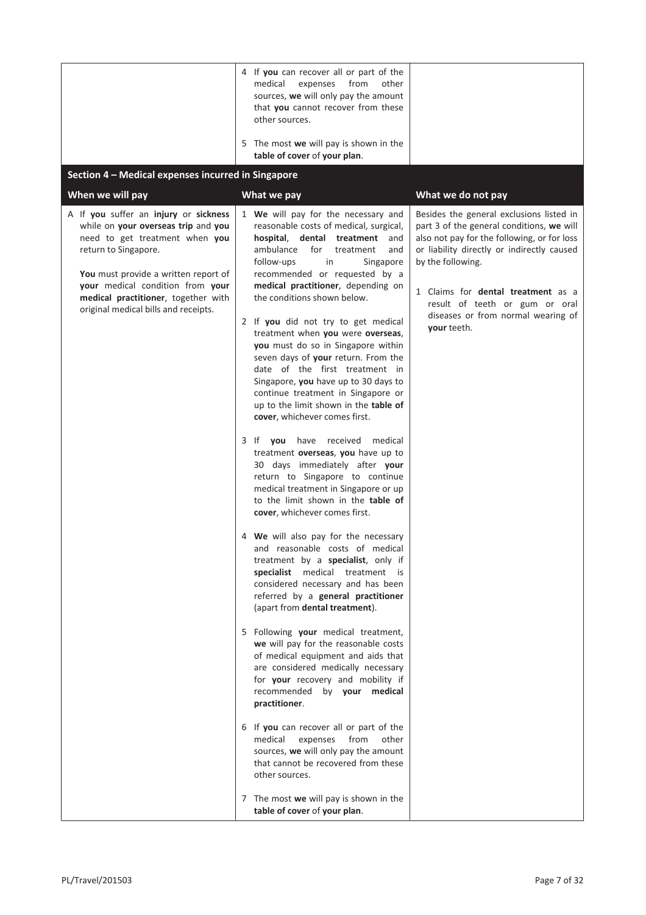|                                                                                                                                                                                                                                                                                                                       | 4 If you can recover all or part of the<br>expenses from<br>medical<br>other<br>sources, we will only pay the amount<br>that you cannot recover from these<br>other sources.<br>5 The most we will pay is shown in the<br>table of cover of your plan.                                                                                                                                                                                                                                                                                                                                                                                                                                                                                                                                                                                                                                                                                                                                                                                                                                                                                                                                                                                                                                                                                                                                                                                                                                                                                                                                                                                                |                                                                                                                                                                                                                                                                                                                                                                   |
|-----------------------------------------------------------------------------------------------------------------------------------------------------------------------------------------------------------------------------------------------------------------------------------------------------------------------|-------------------------------------------------------------------------------------------------------------------------------------------------------------------------------------------------------------------------------------------------------------------------------------------------------------------------------------------------------------------------------------------------------------------------------------------------------------------------------------------------------------------------------------------------------------------------------------------------------------------------------------------------------------------------------------------------------------------------------------------------------------------------------------------------------------------------------------------------------------------------------------------------------------------------------------------------------------------------------------------------------------------------------------------------------------------------------------------------------------------------------------------------------------------------------------------------------------------------------------------------------------------------------------------------------------------------------------------------------------------------------------------------------------------------------------------------------------------------------------------------------------------------------------------------------------------------------------------------------------------------------------------------------|-------------------------------------------------------------------------------------------------------------------------------------------------------------------------------------------------------------------------------------------------------------------------------------------------------------------------------------------------------------------|
| Section 4 - Medical expenses incurred in Singapore                                                                                                                                                                                                                                                                    |                                                                                                                                                                                                                                                                                                                                                                                                                                                                                                                                                                                                                                                                                                                                                                                                                                                                                                                                                                                                                                                                                                                                                                                                                                                                                                                                                                                                                                                                                                                                                                                                                                                       |                                                                                                                                                                                                                                                                                                                                                                   |
| When we will pay<br>A If you suffer an injury or sickness<br>while on your overseas trip and you<br>need to get treatment when you<br>return to Singapore.<br>You must provide a written report of<br>your medical condition from your<br>medical practitioner, together with<br>original medical bills and receipts. | What we pay<br>1 We will pay for the necessary and<br>reasonable costs of medical, surgical,<br>hospital, dental treatment<br>and<br>ambulance<br>for<br>treatment<br>and<br>follow-ups<br>in<br>Singapore<br>recommended or requested by a<br>medical practitioner, depending on<br>the conditions shown below.<br>2 If you did not try to get medical<br>treatment when you were overseas,<br>you must do so in Singapore within<br>seven days of your return. From the<br>date of the first treatment in<br>Singapore, you have up to 30 days to<br>continue treatment in Singapore or<br>up to the limit shown in the table of<br>cover, whichever comes first.<br>medical<br>3 If <b>you</b> have<br>received<br>treatment overseas, you have up to<br>30 days immediately after your<br>return to Singapore to continue<br>medical treatment in Singapore or up<br>to the limit shown in the <b>table of</b><br>cover, whichever comes first.<br>4 We will also pay for the necessary<br>and reasonable costs of medical<br>treatment by a specialist, only if<br>specialist medical treatment is<br>considered necessary and has been<br>referred by a general practitioner<br>(apart from dental treatment).<br>5 Following your medical treatment,<br>we will pay for the reasonable costs<br>of medical equipment and aids that<br>are considered medically necessary<br>for your recovery and mobility if<br>recommended by your medical<br>practitioner.<br>6 If you can recover all or part of the<br>expenses from<br>medical<br>other<br>sources, we will only pay the amount<br>that cannot be recovered from these<br>other sources. | What we do not pay<br>Besides the general exclusions listed in<br>part 3 of the general conditions, we will<br>also not pay for the following, or for loss<br>or liability directly or indirectly caused<br>by the following.<br>1 Claims for <b>dental treatment</b> as a<br>result of teeth or gum or oral<br>diseases or from normal wearing of<br>your teeth. |
|                                                                                                                                                                                                                                                                                                                       | 7 The most we will pay is shown in the<br>table of cover of your plan.                                                                                                                                                                                                                                                                                                                                                                                                                                                                                                                                                                                                                                                                                                                                                                                                                                                                                                                                                                                                                                                                                                                                                                                                                                                                                                                                                                                                                                                                                                                                                                                |                                                                                                                                                                                                                                                                                                                                                                   |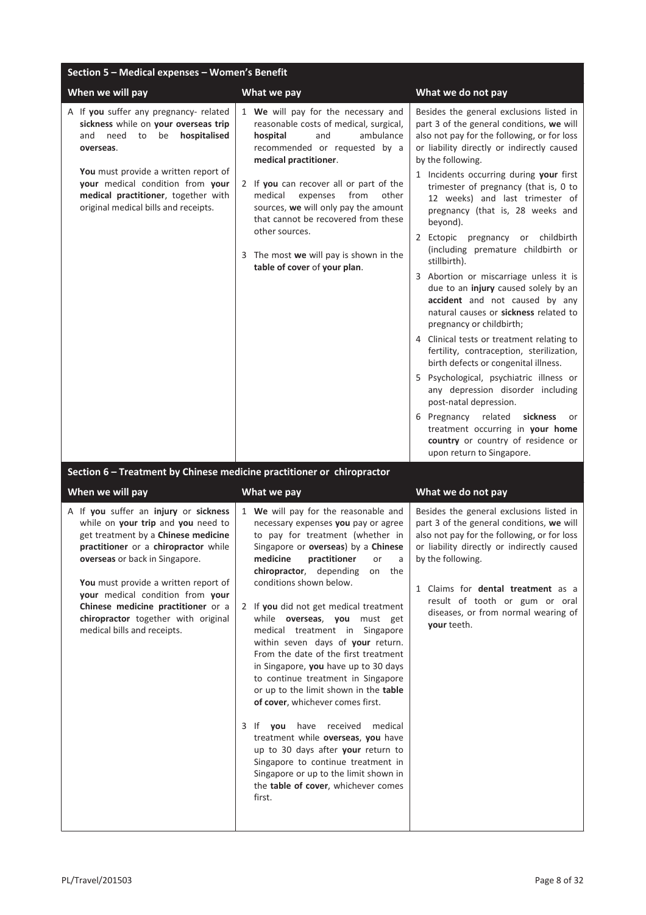| Section 5 - Medical expenses - Women's Benefit                                                                                                                                                                                                                                              |                                                                                                                                                                                                                                                                                                                                                                                                                                       |                                                                                                                                                                                                                                                                                                                                                                                                                                                                                                                                                                                                                                                                                                                                                                                                                                                                                                                                                                                                                                                               |
|---------------------------------------------------------------------------------------------------------------------------------------------------------------------------------------------------------------------------------------------------------------------------------------------|---------------------------------------------------------------------------------------------------------------------------------------------------------------------------------------------------------------------------------------------------------------------------------------------------------------------------------------------------------------------------------------------------------------------------------------|---------------------------------------------------------------------------------------------------------------------------------------------------------------------------------------------------------------------------------------------------------------------------------------------------------------------------------------------------------------------------------------------------------------------------------------------------------------------------------------------------------------------------------------------------------------------------------------------------------------------------------------------------------------------------------------------------------------------------------------------------------------------------------------------------------------------------------------------------------------------------------------------------------------------------------------------------------------------------------------------------------------------------------------------------------------|
| When we will pay                                                                                                                                                                                                                                                                            | What we pay                                                                                                                                                                                                                                                                                                                                                                                                                           | What we do not pay                                                                                                                                                                                                                                                                                                                                                                                                                                                                                                                                                                                                                                                                                                                                                                                                                                                                                                                                                                                                                                            |
| A If you suffer any pregnancy- related<br>sickness while on your overseas trip<br>need to be<br>hospitalised<br>and<br>overseas.<br>You must provide a written report of<br>your medical condition from your<br>medical practitioner, together with<br>original medical bills and receipts. | 1 We will pay for the necessary and<br>reasonable costs of medical, surgical,<br>and<br>ambulance<br>hospital<br>recommended or requested by a<br>medical practitioner.<br>2 If you can recover all or part of the<br>medical<br>from<br>expenses<br>other<br>sources, we will only pay the amount<br>that cannot be recovered from these<br>other sources.<br>3 The most we will pay is shown in the<br>table of cover of your plan. | Besides the general exclusions listed in<br>part 3 of the general conditions, we will<br>also not pay for the following, or for loss<br>or liability directly or indirectly caused<br>by the following.<br>1 Incidents occurring during your first<br>trimester of pregnancy (that is, 0 to<br>12 weeks) and last trimester of<br>pregnancy (that is, 28 weeks and<br>beyond).<br>2 Ectopic pregnancy or childbirth<br>(including premature childbirth or<br>stillbirth).<br>3 Abortion or miscarriage unless it is<br>due to an injury caused solely by an<br>accident and not caused by any<br>natural causes or sickness related to<br>pregnancy or childbirth;<br>4 Clinical tests or treatment relating to<br>fertility, contraception, sterilization,<br>birth defects or congenital illness.<br>5 Psychological, psychiatric illness or<br>any depression disorder including<br>post-natal depression.<br>6 Pregnancy related<br>sickness<br>or<br>treatment occurring in your home<br>country or country of residence or<br>upon return to Singapore. |
| Section 6 - Treatment by Chinese medicine practitioner or chiropractor                                                                                                                                                                                                                      |                                                                                                                                                                                                                                                                                                                                                                                                                                       |                                                                                                                                                                                                                                                                                                                                                                                                                                                                                                                                                                                                                                                                                                                                                                                                                                                                                                                                                                                                                                                               |
| When we will pay                                                                                                                                                                                                                                                                            | What we pay                                                                                                                                                                                                                                                                                                                                                                                                                           | What we do not pay                                                                                                                                                                                                                                                                                                                                                                                                                                                                                                                                                                                                                                                                                                                                                                                                                                                                                                                                                                                                                                            |
| A If you suffer an injury or sickness                                                                                                                                                                                                                                                       | 1 We will pay for the reasonable and                                                                                                                                                                                                                                                                                                                                                                                                  | Besides the general exclusions listed in                                                                                                                                                                                                                                                                                                                                                                                                                                                                                                                                                                                                                                                                                                                                                                                                                                                                                                                                                                                                                      |

while on **your trip** and **you** need to get treatment by a **Chinese medicine practitioner** or a **chiropractor** while **overseas** or back in Singapore.

**You** must provide a written report of **your** medical condition from **your Chinese medicine practitioner** or a **chiropractor** together with original medical bills and receipts.

necessary expenses **you** pay or agree to pay for treatment (whether in Singapore or **overseas**) by a **Chinese medicine practitioner** or a **chiropractor**, depending on the conditions shown below.

2 If **you** did not get medical treatment while **overseas**, **you** must get medical treatment in Singapore within seven days of **your** return. From the date of the first treatment in Singapore, **you** have up to 30 days to continue treatment in Singapore or up to the limit shown in the **table of cover**, whichever comes first.

3 If **you** have received medical treatment while **overseas**, **you** have up to 30 days after **your** return to Singapore to continue treatment in Singapore or up to the limit shown in the **table of cover**, whichever comes first.

part 3 of the general conditions, **we** will also not pay for the following, or for loss or liability directly or indirectly caused by the following.

1 Claims for **dental treatment** as a result of tooth or gum or oral diseases, or from normal wearing of **your** teeth.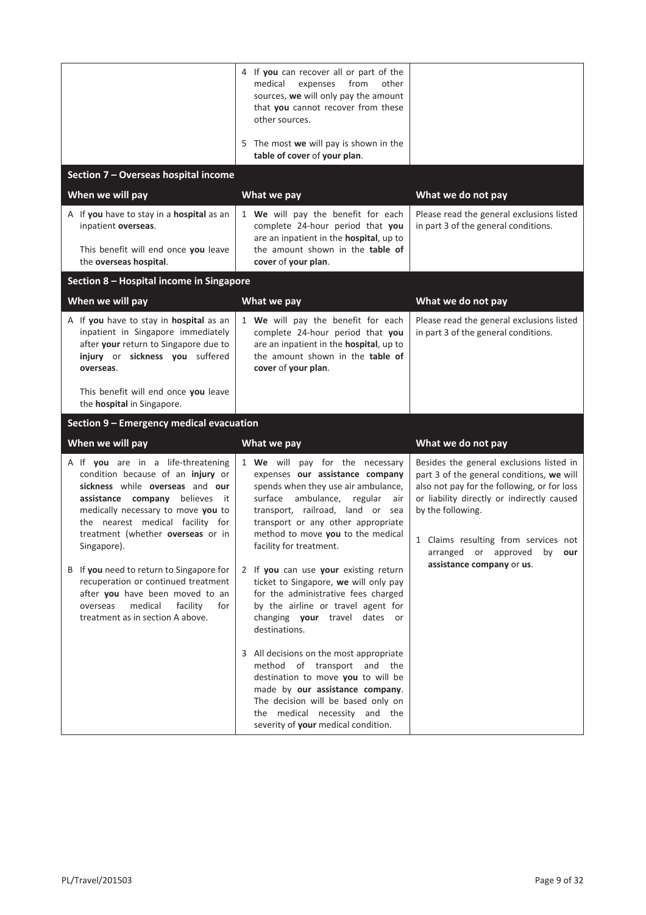|                                                                                                                                                                                                                                                                                  | 4 If you can recover all or part of the<br>medical<br>from<br>other<br>expenses<br>sources, we will only pay the amount<br>that you cannot recover from these<br>other sources.<br>5 The most we will pay is shown in the                                                                      |                                                                                                                                                                                                                                                                                       |
|----------------------------------------------------------------------------------------------------------------------------------------------------------------------------------------------------------------------------------------------------------------------------------|------------------------------------------------------------------------------------------------------------------------------------------------------------------------------------------------------------------------------------------------------------------------------------------------|---------------------------------------------------------------------------------------------------------------------------------------------------------------------------------------------------------------------------------------------------------------------------------------|
|                                                                                                                                                                                                                                                                                  | table of cover of your plan.                                                                                                                                                                                                                                                                   |                                                                                                                                                                                                                                                                                       |
| Section 7 - Overseas hospital income                                                                                                                                                                                                                                             |                                                                                                                                                                                                                                                                                                |                                                                                                                                                                                                                                                                                       |
| When we will pay                                                                                                                                                                                                                                                                 | What we pay                                                                                                                                                                                                                                                                                    | What we do not pay                                                                                                                                                                                                                                                                    |
| A If you have to stay in a hospital as an<br>inpatient overseas.<br>This benefit will end once you leave                                                                                                                                                                         | 1 We will pay the benefit for each<br>complete 24-hour period that you<br>are an inpatient in the <b>hospital</b> , up to<br>the amount shown in the table of                                                                                                                                  | Please read the general exclusions listed<br>in part 3 of the general conditions.                                                                                                                                                                                                     |
| the overseas hospital.                                                                                                                                                                                                                                                           | cover of your plan.                                                                                                                                                                                                                                                                            |                                                                                                                                                                                                                                                                                       |
| Section 8 - Hospital income in Singapore                                                                                                                                                                                                                                         |                                                                                                                                                                                                                                                                                                |                                                                                                                                                                                                                                                                                       |
| When we will pay                                                                                                                                                                                                                                                                 | What we pay                                                                                                                                                                                                                                                                                    | What we do not pay                                                                                                                                                                                                                                                                    |
| A If you have to stay in hospital as an<br>inpatient in Singapore immediately<br>after your return to Singapore due to<br>injury or sickness you suffered<br>overseas.                                                                                                           | 1 We will pay the benefit for each<br>complete 24-hour period that you<br>are an inpatient in the <b>hospital</b> , up to<br>the amount shown in the table of<br>cover of your plan.                                                                                                           | Please read the general exclusions listed<br>in part 3 of the general conditions.                                                                                                                                                                                                     |
| This benefit will end once you leave<br>the <b>hospital</b> in Singapore.                                                                                                                                                                                                        |                                                                                                                                                                                                                                                                                                |                                                                                                                                                                                                                                                                                       |
| Section 9 - Emergency medical evacuation                                                                                                                                                                                                                                         |                                                                                                                                                                                                                                                                                                |                                                                                                                                                                                                                                                                                       |
| When we will pay                                                                                                                                                                                                                                                                 | What we pay                                                                                                                                                                                                                                                                                    | What we do not pay                                                                                                                                                                                                                                                                    |
| A If you are in a life-threatening<br>condition because of an injury or<br>sickness while overseas and our<br>assistance company believes<br>it it<br>medically necessary to move you to<br>the nearest medical facility for<br>treatment (whether overseas or in<br>Singapore). | 1 We will pay for the necessary<br>expenses our assistance company<br>spends when they use air ambulance,<br>surface<br>ambulance,<br>regular<br>air<br>transport, railroad, land or sea<br>transport or any other appropriate<br>method to move you to the medical<br>facility for treatment. | Besides the general exclusions listed in<br>part 3 of the general conditions, we will<br>also not pay for the following, or for loss<br>or liability directly or indirectly caused<br>by the following.<br>1 Claims resulting from services not<br>arranged or approved by <b>our</b> |
| B If you need to return to Singapore for<br>recuperation or continued treatment<br>after you have been moved to an<br>medical<br>facility<br>overseas<br>for<br>treatment as in section A above.                                                                                 | 2 If you can use your existing return<br>ticket to Singapore, we will only pay<br>for the administrative fees charged<br>by the airline or travel agent for<br>changing your travel dates or<br>destinations.                                                                                  | assistance company or us.                                                                                                                                                                                                                                                             |
|                                                                                                                                                                                                                                                                                  | 3 All decisions on the most appropriate<br>method of transport and the<br>destination to move you to will be<br>made by our assistance company.<br>The decision will be based only on<br>the medical necessity and the<br>severity of your medical condition.                                  |                                                                                                                                                                                                                                                                                       |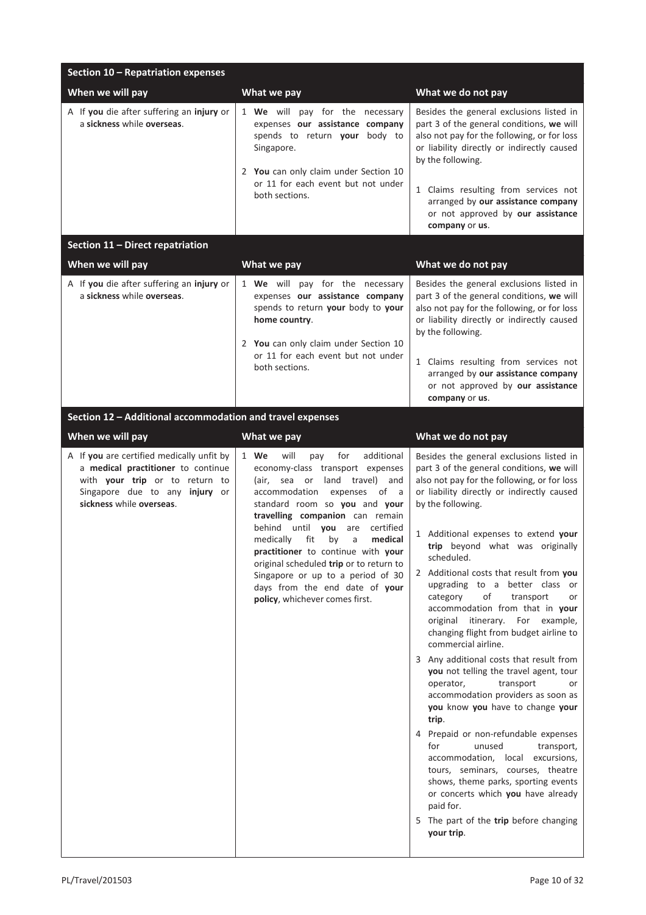| Section 10 - Repatriation expenses                                                                                                                                              |                                                                                                                                                                                                                                                                                                                                                                                                                                                                                                 |                                                                                                                                                                                                                                                                                                                                                                                                                                                                                                                                                                                                                                                                                                                                                                                                                                                                                                                                                                                                                                                                      |
|---------------------------------------------------------------------------------------------------------------------------------------------------------------------------------|-------------------------------------------------------------------------------------------------------------------------------------------------------------------------------------------------------------------------------------------------------------------------------------------------------------------------------------------------------------------------------------------------------------------------------------------------------------------------------------------------|----------------------------------------------------------------------------------------------------------------------------------------------------------------------------------------------------------------------------------------------------------------------------------------------------------------------------------------------------------------------------------------------------------------------------------------------------------------------------------------------------------------------------------------------------------------------------------------------------------------------------------------------------------------------------------------------------------------------------------------------------------------------------------------------------------------------------------------------------------------------------------------------------------------------------------------------------------------------------------------------------------------------------------------------------------------------|
| When we will pay                                                                                                                                                                | What we pay                                                                                                                                                                                                                                                                                                                                                                                                                                                                                     | What we do not pay                                                                                                                                                                                                                                                                                                                                                                                                                                                                                                                                                                                                                                                                                                                                                                                                                                                                                                                                                                                                                                                   |
| A If you die after suffering an injury or<br>a sickness while overseas.                                                                                                         | 1 We will pay for the necessary<br>expenses our assistance company<br>spends to return your body to<br>Singapore.<br>2 You can only claim under Section 10<br>or 11 for each event but not under<br>both sections.                                                                                                                                                                                                                                                                              | Besides the general exclusions listed in<br>part 3 of the general conditions, we will<br>also not pay for the following, or for loss<br>or liability directly or indirectly caused<br>by the following.<br>1 Claims resulting from services not<br>arranged by our assistance company<br>or not approved by our assistance<br>company or us.                                                                                                                                                                                                                                                                                                                                                                                                                                                                                                                                                                                                                                                                                                                         |
| Section 11 - Direct repatriation                                                                                                                                                |                                                                                                                                                                                                                                                                                                                                                                                                                                                                                                 |                                                                                                                                                                                                                                                                                                                                                                                                                                                                                                                                                                                                                                                                                                                                                                                                                                                                                                                                                                                                                                                                      |
| When we will pay                                                                                                                                                                | What we pay                                                                                                                                                                                                                                                                                                                                                                                                                                                                                     | What we do not pay                                                                                                                                                                                                                                                                                                                                                                                                                                                                                                                                                                                                                                                                                                                                                                                                                                                                                                                                                                                                                                                   |
| A If you die after suffering an injury or<br>a sickness while overseas.                                                                                                         | 1 We will pay for the necessary<br>expenses our assistance company<br>spends to return your body to your<br>home country.<br>2 You can only claim under Section 10<br>or 11 for each event but not under<br>both sections.                                                                                                                                                                                                                                                                      | Besides the general exclusions listed in<br>part 3 of the general conditions, we will<br>also not pay for the following, or for loss<br>or liability directly or indirectly caused<br>by the following.<br>1 Claims resulting from services not<br>arranged by our assistance company<br>or not approved by our assistance<br>company or us.                                                                                                                                                                                                                                                                                                                                                                                                                                                                                                                                                                                                                                                                                                                         |
| Section 12 - Additional accommodation and travel expenses                                                                                                                       |                                                                                                                                                                                                                                                                                                                                                                                                                                                                                                 |                                                                                                                                                                                                                                                                                                                                                                                                                                                                                                                                                                                                                                                                                                                                                                                                                                                                                                                                                                                                                                                                      |
| When we will pay                                                                                                                                                                | What we pay                                                                                                                                                                                                                                                                                                                                                                                                                                                                                     | What we do not pay                                                                                                                                                                                                                                                                                                                                                                                                                                                                                                                                                                                                                                                                                                                                                                                                                                                                                                                                                                                                                                                   |
| A If you are certified medically unfit by<br>a medical practitioner to continue<br>with your trip or to return to<br>Singapore due to any injury or<br>sickness while overseas. | 1 We<br>will<br>for<br>additional<br>pay<br>economy-class transport expenses<br>(air, sea or land travel) and<br>accommodation expenses<br>of a<br>standard room so you and your<br>travelling companion can remain<br>behind until you<br>certified<br>are<br>fit<br>by<br>medically<br>a<br>medical<br>practitioner to continue with your<br>original scheduled trip or to return to<br>Singapore or up to a period of 30<br>days from the end date of your<br>policy, whichever comes first. | Besides the general exclusions listed in<br>part 3 of the general conditions, we will<br>also not pay for the following, or for loss<br>or liability directly or indirectly caused<br>by the following.<br>1 Additional expenses to extend your<br>trip beyond what was originally<br>scheduled.<br>2 Additional costs that result from you<br>upgrading to a better class or<br>of<br>transport<br>category<br>or<br>accommodation from that in your<br>original itinerary. For example,<br>changing flight from budget airline to<br>commercial airline.<br>3 Any additional costs that result from<br>you not telling the travel agent, tour<br>transport<br>operator,<br>or<br>accommodation providers as soon as<br>you know you have to change your<br>trip.<br>4 Prepaid or non-refundable expenses<br>unused<br>for<br>transport,<br>accommodation, local excursions,<br>tours, seminars, courses, theatre<br>shows, theme parks, sporting events<br>or concerts which you have already<br>paid for.<br>5 The part of the trip before changing<br>your trip. |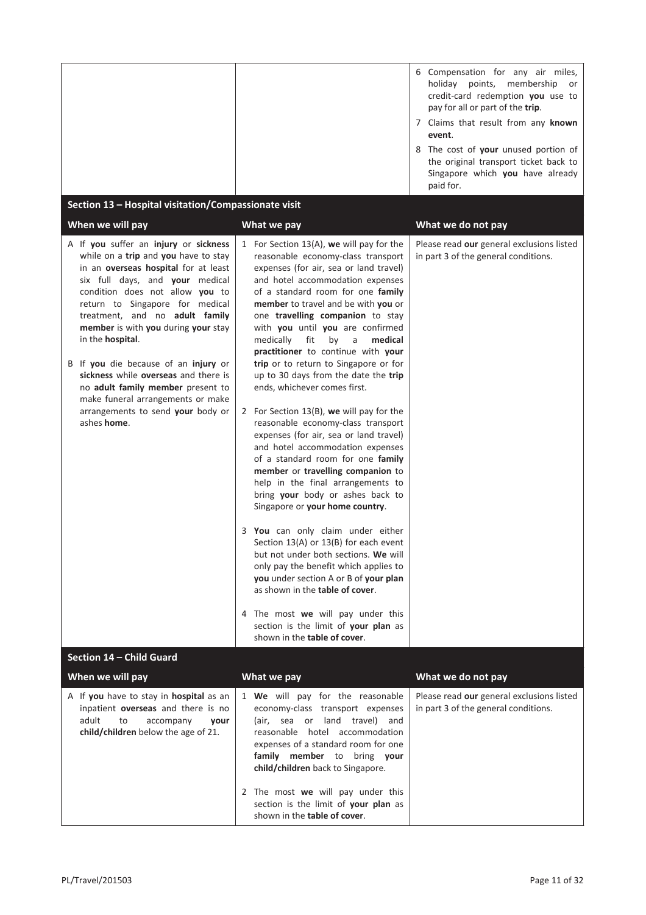|                                                                                                                                                                                                                                                                                                                                                                                                                                                                                                                                           |                                                                                                                                                                                                                                                                                                                                                                                                                                                                                                                                                                                                                                                                                                                                                                                                                                                                                                                                                                                                                                                                                                                                                                                                                                            | 6 Compensation for any air miles,<br>holiday points, membership<br>or<br>credit-card redemption you use to<br>pay for all or part of the trip.<br>7 Claims that result from any known<br>event.<br>8 The cost of your unused portion of<br>the original transport ticket back to<br>Singapore which you have already<br>paid for. |
|-------------------------------------------------------------------------------------------------------------------------------------------------------------------------------------------------------------------------------------------------------------------------------------------------------------------------------------------------------------------------------------------------------------------------------------------------------------------------------------------------------------------------------------------|--------------------------------------------------------------------------------------------------------------------------------------------------------------------------------------------------------------------------------------------------------------------------------------------------------------------------------------------------------------------------------------------------------------------------------------------------------------------------------------------------------------------------------------------------------------------------------------------------------------------------------------------------------------------------------------------------------------------------------------------------------------------------------------------------------------------------------------------------------------------------------------------------------------------------------------------------------------------------------------------------------------------------------------------------------------------------------------------------------------------------------------------------------------------------------------------------------------------------------------------|-----------------------------------------------------------------------------------------------------------------------------------------------------------------------------------------------------------------------------------------------------------------------------------------------------------------------------------|
| Section 13 - Hospital visitation/Compassionate visit<br>When we will pay                                                                                                                                                                                                                                                                                                                                                                                                                                                                  | What we pay                                                                                                                                                                                                                                                                                                                                                                                                                                                                                                                                                                                                                                                                                                                                                                                                                                                                                                                                                                                                                                                                                                                                                                                                                                | What we do not pay                                                                                                                                                                                                                                                                                                                |
| A If you suffer an injury or sickness<br>while on a trip and you have to stay<br>in an overseas hospital for at least<br>six full days, and your medical<br>condition does not allow you to<br>return to Singapore for medical<br>treatment, and no adult family<br>member is with you during your stay<br>in the hospital.<br>B If you die because of an injury or<br>sickness while overseas and there is<br>no adult family member present to<br>make funeral arrangements or make<br>arrangements to send your body or<br>ashes home. | 1 For Section 13(A), we will pay for the<br>reasonable economy-class transport<br>expenses (for air, sea or land travel)<br>and hotel accommodation expenses<br>of a standard room for one family<br>member to travel and be with you or<br>one travelling companion to stay<br>with you until you are confirmed<br>fit<br>medically<br>by<br>a<br>medical<br>practitioner to continue with your<br>trip or to return to Singapore or for<br>up to 30 days from the date the trip<br>ends, whichever comes first.<br>2 For Section $13(B)$ , we will pay for the<br>reasonable economy-class transport<br>expenses (for air, sea or land travel)<br>and hotel accommodation expenses<br>of a standard room for one family<br>member or travelling companion to<br>help in the final arrangements to<br>bring your body or ashes back to<br>Singapore or your home country.<br>3 You can only claim under either<br>Section 13(A) or 13(B) for each event<br>but not under both sections. We will<br>only pay the benefit which applies to<br>you under section A or B of your plan<br>as shown in the table of cover.<br>4 The most we will pay under this<br>section is the limit of your plan as<br>shown in the <b>table of cover</b> . | Please read our general exclusions listed<br>in part 3 of the general conditions.                                                                                                                                                                                                                                                 |
| Section 14 - Child Guard                                                                                                                                                                                                                                                                                                                                                                                                                                                                                                                  |                                                                                                                                                                                                                                                                                                                                                                                                                                                                                                                                                                                                                                                                                                                                                                                                                                                                                                                                                                                                                                                                                                                                                                                                                                            |                                                                                                                                                                                                                                                                                                                                   |
| When we will pay<br>A If you have to stay in hospital as an<br>inpatient overseas and there is no<br>adult<br>to<br>accompany<br>your<br>child/children below the age of 21.                                                                                                                                                                                                                                                                                                                                                              | What we pay<br>1 We will pay for the reasonable<br>economy-class transport expenses<br>(air, sea or land travel) and<br>reasonable hotel accommodation<br>expenses of a standard room for one<br>family member to bring your<br>child/children back to Singapore.<br>2 The most we will pay under this<br>section is the limit of your plan as<br>shown in the table of cover.                                                                                                                                                                                                                                                                                                                                                                                                                                                                                                                                                                                                                                                                                                                                                                                                                                                             | What we do not pay<br>Please read our general exclusions listed<br>in part 3 of the general conditions.                                                                                                                                                                                                                           |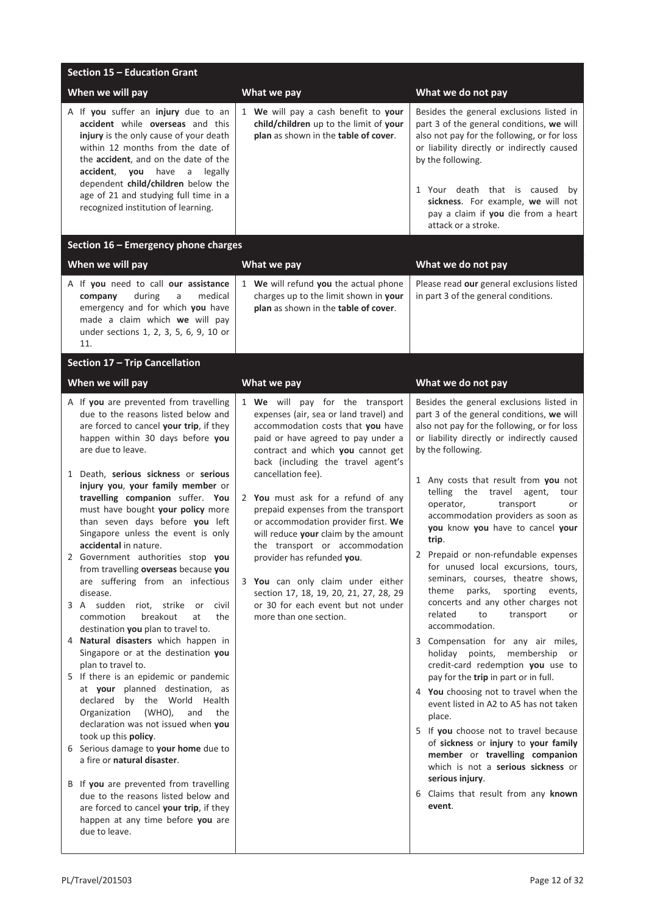| Section 15 - Education Grant                                                                                                                                                                                                                                                                                                                                                                                                                                                                                                                                                                                                                                                                                                                                                                                                                                                                                                                                                                                                                                                                                                                                                                                                                                                    |                                                                                                                                                                                                                                                                                                                                                                                                                                                                                                                                                                                                                                  |                                                                                                                                                                                                                                                                                                                                                                                                                                                                                                                                                                                                                                                                                                                                                                                                                                                                                                                                                                                                                                                                                                                                                      |
|---------------------------------------------------------------------------------------------------------------------------------------------------------------------------------------------------------------------------------------------------------------------------------------------------------------------------------------------------------------------------------------------------------------------------------------------------------------------------------------------------------------------------------------------------------------------------------------------------------------------------------------------------------------------------------------------------------------------------------------------------------------------------------------------------------------------------------------------------------------------------------------------------------------------------------------------------------------------------------------------------------------------------------------------------------------------------------------------------------------------------------------------------------------------------------------------------------------------------------------------------------------------------------|----------------------------------------------------------------------------------------------------------------------------------------------------------------------------------------------------------------------------------------------------------------------------------------------------------------------------------------------------------------------------------------------------------------------------------------------------------------------------------------------------------------------------------------------------------------------------------------------------------------------------------|------------------------------------------------------------------------------------------------------------------------------------------------------------------------------------------------------------------------------------------------------------------------------------------------------------------------------------------------------------------------------------------------------------------------------------------------------------------------------------------------------------------------------------------------------------------------------------------------------------------------------------------------------------------------------------------------------------------------------------------------------------------------------------------------------------------------------------------------------------------------------------------------------------------------------------------------------------------------------------------------------------------------------------------------------------------------------------------------------------------------------------------------------|
| When we will pay                                                                                                                                                                                                                                                                                                                                                                                                                                                                                                                                                                                                                                                                                                                                                                                                                                                                                                                                                                                                                                                                                                                                                                                                                                                                | What we pay                                                                                                                                                                                                                                                                                                                                                                                                                                                                                                                                                                                                                      | What we do not pay                                                                                                                                                                                                                                                                                                                                                                                                                                                                                                                                                                                                                                                                                                                                                                                                                                                                                                                                                                                                                                                                                                                                   |
| A If you suffer an injury due to an<br>accident while overseas and this<br>injury is the only cause of your death<br>within 12 months from the date of<br>the accident, and on the date of the<br>accident,<br>you<br>have<br>a legally<br>dependent child/children below the<br>age of 21 and studying full time in a<br>recognized institution of learning.                                                                                                                                                                                                                                                                                                                                                                                                                                                                                                                                                                                                                                                                                                                                                                                                                                                                                                                   | 1 We will pay a cash benefit to your<br>child/children up to the limit of your<br>plan as shown in the table of cover.                                                                                                                                                                                                                                                                                                                                                                                                                                                                                                           | Besides the general exclusions listed in<br>part 3 of the general conditions, we will<br>also not pay for the following, or for loss<br>or liability directly or indirectly caused<br>by the following.<br>1 Your death that is caused<br>by<br>sickness. For example, we will not<br>pay a claim if you die from a heart<br>attack or a stroke.                                                                                                                                                                                                                                                                                                                                                                                                                                                                                                                                                                                                                                                                                                                                                                                                     |
| Section 16 - Emergency phone charges                                                                                                                                                                                                                                                                                                                                                                                                                                                                                                                                                                                                                                                                                                                                                                                                                                                                                                                                                                                                                                                                                                                                                                                                                                            |                                                                                                                                                                                                                                                                                                                                                                                                                                                                                                                                                                                                                                  |                                                                                                                                                                                                                                                                                                                                                                                                                                                                                                                                                                                                                                                                                                                                                                                                                                                                                                                                                                                                                                                                                                                                                      |
| When we will pay                                                                                                                                                                                                                                                                                                                                                                                                                                                                                                                                                                                                                                                                                                                                                                                                                                                                                                                                                                                                                                                                                                                                                                                                                                                                | What we pay                                                                                                                                                                                                                                                                                                                                                                                                                                                                                                                                                                                                                      | What we do not pay                                                                                                                                                                                                                                                                                                                                                                                                                                                                                                                                                                                                                                                                                                                                                                                                                                                                                                                                                                                                                                                                                                                                   |
| A If you need to call our assistance<br>during<br>company<br>medical<br>a<br>emergency and for which you have<br>made a claim which we will pay<br>under sections 1, 2, 3, 5, 6, 9, 10 or<br>11.                                                                                                                                                                                                                                                                                                                                                                                                                                                                                                                                                                                                                                                                                                                                                                                                                                                                                                                                                                                                                                                                                | 1 We will refund you the actual phone<br>charges up to the limit shown in your<br>plan as shown in the table of cover.                                                                                                                                                                                                                                                                                                                                                                                                                                                                                                           | Please read our general exclusions listed<br>in part 3 of the general conditions.                                                                                                                                                                                                                                                                                                                                                                                                                                                                                                                                                                                                                                                                                                                                                                                                                                                                                                                                                                                                                                                                    |
| <b>Section 17 - Trip Cancellation</b>                                                                                                                                                                                                                                                                                                                                                                                                                                                                                                                                                                                                                                                                                                                                                                                                                                                                                                                                                                                                                                                                                                                                                                                                                                           |                                                                                                                                                                                                                                                                                                                                                                                                                                                                                                                                                                                                                                  |                                                                                                                                                                                                                                                                                                                                                                                                                                                                                                                                                                                                                                                                                                                                                                                                                                                                                                                                                                                                                                                                                                                                                      |
| When we will pay                                                                                                                                                                                                                                                                                                                                                                                                                                                                                                                                                                                                                                                                                                                                                                                                                                                                                                                                                                                                                                                                                                                                                                                                                                                                | What we pay                                                                                                                                                                                                                                                                                                                                                                                                                                                                                                                                                                                                                      | What we do not pay                                                                                                                                                                                                                                                                                                                                                                                                                                                                                                                                                                                                                                                                                                                                                                                                                                                                                                                                                                                                                                                                                                                                   |
| A If you are prevented from travelling<br>due to the reasons listed below and<br>are forced to cancel your trip, if they<br>happen within 30 days before you<br>are due to leave.<br>1 Death, serious sickness or serious<br>injury you, your family member or<br>travelling companion suffer. You<br>must have bought your policy more<br>than seven days before you left<br>Singapore unless the event is only<br>accidental in nature.<br>2 Government authorities stop you<br>from travelling overseas because you<br>are suffering from an infectious<br>disease.<br>3 A sudden<br>riot, strike<br>civil<br>or<br>commotion<br>breakout<br>at<br>the<br>destination you plan to travel to.<br>4 Natural disasters which happen in<br>Singapore or at the destination you<br>plan to travel to.<br>5 If there is an epidemic or pandemic<br>at your planned destination, as<br>declared by the World Health<br>Organization<br>(WHO),<br>and<br>the<br>declaration was not issued when you<br>took up this policy.<br>6 Serious damage to your home due to<br>a fire or natural disaster.<br>B If you are prevented from travelling<br>due to the reasons listed below and<br>are forced to cancel your trip, if they<br>happen at any time before you are<br>due to leave. | 1 We will pay for the transport<br>expenses (air, sea or land travel) and<br>accommodation costs that you have<br>paid or have agreed to pay under a<br>contract and which you cannot get<br>back (including the travel agent's<br>cancellation fee).<br>2 You must ask for a refund of any<br>prepaid expenses from the transport<br>or accommodation provider first. We<br>will reduce your claim by the amount<br>the transport or accommodation<br>provider has refunded you.<br>3 You can only claim under either<br>section 17, 18, 19, 20, 21, 27, 28, 29<br>or 30 for each event but not under<br>more than one section. | Besides the general exclusions listed in<br>part 3 of the general conditions, we will<br>also not pay for the following, or for loss<br>or liability directly or indirectly caused<br>by the following.<br>1 Any costs that result from you not<br>telling the travel<br>agent,<br>tour<br>operator,<br>transport<br>or<br>accommodation providers as soon as<br>you know you have to cancel your<br>trip.<br>2 Prepaid or non-refundable expenses<br>for unused local excursions, tours,<br>seminars, courses, theatre shows,<br>parks,<br>theme<br>sporting<br>events,<br>concerts and any other charges not<br>related<br>to<br>transport<br>or<br>accommodation.<br>3 Compensation for any air miles,<br>holiday points, membership<br>or<br>credit-card redemption you use to<br>pay for the trip in part or in full.<br>4 You choosing not to travel when the<br>event listed in A2 to A5 has not taken<br>place.<br>5 If you choose not to travel because<br>of sickness or injury to your family<br>member or travelling companion<br>which is not a serious sickness or<br>serious injury.<br>6 Claims that result from any known<br>event. |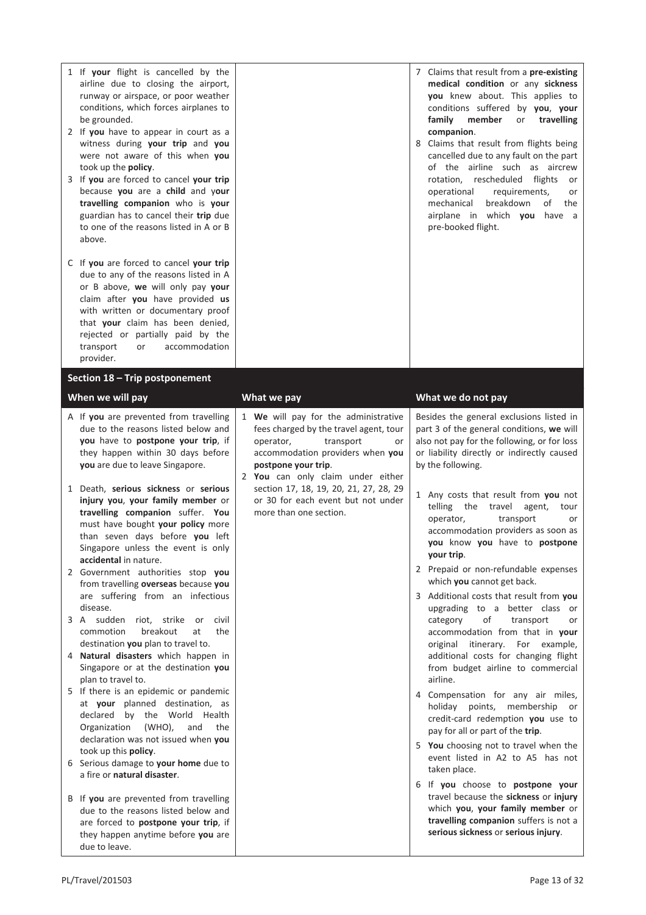| 1 If your flight is cancelled by the<br>airline due to closing the airport,<br>runway or airspace, or poor weather<br>conditions, which forces airplanes to<br>be grounded.<br>2 If you have to appear in court as a<br>witness during your trip and you<br>were not aware of this when you<br>took up the policy.<br>3 If you are forced to cancel your trip<br>because you are a child and your<br>travelling companion who is your<br>guardian has to cancel their trip due<br>to one of the reasons listed in A or B<br>above.<br>C If you are forced to cancel your trip<br>due to any of the reasons listed in A<br>or B above, we will only pay your<br>claim after you have provided us<br>with written or documentary proof<br>that your claim has been denied,<br>rejected or partially paid by the<br>accommodation<br>transport<br>or<br>provider.                                                                                                                                                                                                                                                                                                                                                                                |                                                                                                                                                                                                                                                                                  | 7 Claims that result from a pre-existing<br>medical condition or any sickness<br>you knew about. This applies to<br>conditions suffered by you, your<br>family<br>member<br>travelling<br>or<br>companion.<br>8 Claims that result from flights being<br>cancelled due to any fault on the part<br>of the airline such as aircrew<br>rotation, rescheduled flights<br>or<br>operational<br>requirements,<br>or<br>breakdown<br>mechanical<br>οf<br>the<br>airplane in which you have a<br>pre-booked flight.                                                                                                                                                                                                                                                                                                                                                                                                                                                                                                                                                                                                                                                                   |
|-----------------------------------------------------------------------------------------------------------------------------------------------------------------------------------------------------------------------------------------------------------------------------------------------------------------------------------------------------------------------------------------------------------------------------------------------------------------------------------------------------------------------------------------------------------------------------------------------------------------------------------------------------------------------------------------------------------------------------------------------------------------------------------------------------------------------------------------------------------------------------------------------------------------------------------------------------------------------------------------------------------------------------------------------------------------------------------------------------------------------------------------------------------------------------------------------------------------------------------------------|----------------------------------------------------------------------------------------------------------------------------------------------------------------------------------------------------------------------------------------------------------------------------------|--------------------------------------------------------------------------------------------------------------------------------------------------------------------------------------------------------------------------------------------------------------------------------------------------------------------------------------------------------------------------------------------------------------------------------------------------------------------------------------------------------------------------------------------------------------------------------------------------------------------------------------------------------------------------------------------------------------------------------------------------------------------------------------------------------------------------------------------------------------------------------------------------------------------------------------------------------------------------------------------------------------------------------------------------------------------------------------------------------------------------------------------------------------------------------|
| Section 18 - Trip postponement                                                                                                                                                                                                                                                                                                                                                                                                                                                                                                                                                                                                                                                                                                                                                                                                                                                                                                                                                                                                                                                                                                                                                                                                                |                                                                                                                                                                                                                                                                                  |                                                                                                                                                                                                                                                                                                                                                                                                                                                                                                                                                                                                                                                                                                                                                                                                                                                                                                                                                                                                                                                                                                                                                                                |
| When we will pay<br>A If you are prevented from travelling                                                                                                                                                                                                                                                                                                                                                                                                                                                                                                                                                                                                                                                                                                                                                                                                                                                                                                                                                                                                                                                                                                                                                                                    | What we pay<br>1 We will pay for the administrative                                                                                                                                                                                                                              | What we do not pay<br>Besides the general exclusions listed in                                                                                                                                                                                                                                                                                                                                                                                                                                                                                                                                                                                                                                                                                                                                                                                                                                                                                                                                                                                                                                                                                                                 |
| due to the reasons listed below and<br>you have to postpone your trip, if<br>they happen within 30 days before<br>you are due to leave Singapore.<br>1 Death, serious sickness or serious<br>injury you, your family member or<br>travelling companion suffer. You<br>must have bought your policy more<br>than seven days before you left<br>Singapore unless the event is only<br>accidental in nature.<br>2 Government authorities stop you<br>from travelling overseas because you<br>are suffering from an infectious<br>disease.<br>3 A sudden riot, strike or<br>civil<br>commotion<br>breakout<br>the<br>at<br>destination you plan to travel to.<br>4 Natural disasters which happen in<br>Singapore or at the destination you<br>plan to travel to.<br>5 If there is an epidemic or pandemic<br>at your planned destination, as<br>declared by the World Health<br>$(WHO)$ ,<br>Organization<br>and<br>the<br>declaration was not issued when you<br>took up this policy.<br>Serious damage to your home due to<br>6<br>a fire or natural disaster.<br>B If you are prevented from travelling<br>due to the reasons listed below and<br>are forced to postpone your trip, if<br>they happen anytime before you are<br>due to leave. | fees charged by the travel agent, tour<br>operator,<br>transport<br>or<br>accommodation providers when you<br>postpone your trip.<br>2 You can only claim under either<br>section 17, 18, 19, 20, 21, 27, 28, 29<br>or 30 for each event but not under<br>more than one section. | part 3 of the general conditions, we will<br>also not pay for the following, or for loss<br>or liability directly or indirectly caused<br>by the following.<br>1 Any costs that result from you not<br>telling the<br>travel<br>agent,<br>tour<br>operator,<br>transport<br>or<br>accommodation providers as soon as<br>you know you have to postpone<br>your trip.<br>2 Prepaid or non-refundable expenses<br>which you cannot get back.<br>3 Additional costs that result from you<br>upgrading to a better class or<br>of<br>category<br>transport<br>or<br>accommodation from that in your<br>original itinerary. For example,<br>additional costs for changing flight<br>from budget airline to commercial<br>airline.<br>4 Compensation for any air miles,<br>holiday points,<br>membership<br>or<br>credit-card redemption you use to<br>pay for all or part of the trip.<br>5 You choosing not to travel when the<br>event listed in A2 to A5 has not<br>taken place.<br>6 If you choose to postpone your<br>travel because the sickness or injury<br>which you, your family member or<br>travelling companion suffers is not a<br>serious sickness or serious injury. |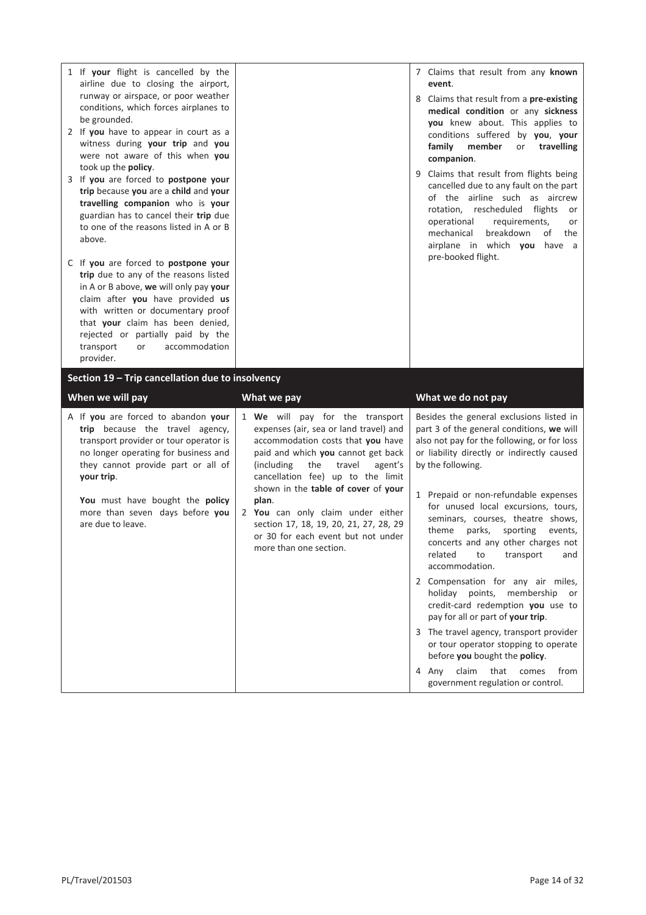| 1 If your flight is cancelled by the<br>airline due to closing the airport,<br>runway or airspace, or poor weather<br>conditions, which forces airplanes to<br>be grounded.<br>2 If you have to appear in court as a<br>witness during your trip and you<br>were not aware of this when you<br>took up the policy.<br>3 If you are forced to postpone your<br>trip because you are a child and your<br>travelling companion who is your<br>guardian has to cancel their trip due<br>to one of the reasons listed in A or B<br>above.<br>C If you are forced to postpone your<br>trip due to any of the reasons listed<br>in A or B above, we will only pay your<br>claim after you have provided us<br>with written or documentary proof<br>that your claim has been denied,<br>rejected or partially paid by the<br>transport<br>accommodation<br>or<br>provider. |                                                                                                                                                                                                                                                                                                                                                                                                                                     | 7 Claims that result from any known<br>event.<br>8 Claims that result from a pre-existing<br>medical condition or any sickness<br>you knew about. This applies to<br>conditions suffered by you, your<br>family<br>member<br>travelling<br>or<br>companion.<br>9 Claims that result from flights being<br>cancelled due to any fault on the part<br>of the airline such as aircrew<br>rotation, rescheduled<br>flights<br>or<br>operational<br>requirements,<br>or<br>breakdown<br>mechanical<br>of<br>the<br>airplane in which you have a<br>pre-booked flight.                                                                                                                                                                                                                                                          |
|--------------------------------------------------------------------------------------------------------------------------------------------------------------------------------------------------------------------------------------------------------------------------------------------------------------------------------------------------------------------------------------------------------------------------------------------------------------------------------------------------------------------------------------------------------------------------------------------------------------------------------------------------------------------------------------------------------------------------------------------------------------------------------------------------------------------------------------------------------------------|-------------------------------------------------------------------------------------------------------------------------------------------------------------------------------------------------------------------------------------------------------------------------------------------------------------------------------------------------------------------------------------------------------------------------------------|---------------------------------------------------------------------------------------------------------------------------------------------------------------------------------------------------------------------------------------------------------------------------------------------------------------------------------------------------------------------------------------------------------------------------------------------------------------------------------------------------------------------------------------------------------------------------------------------------------------------------------------------------------------------------------------------------------------------------------------------------------------------------------------------------------------------------|
| Section 19 - Trip cancellation due to insolvency                                                                                                                                                                                                                                                                                                                                                                                                                                                                                                                                                                                                                                                                                                                                                                                                                   |                                                                                                                                                                                                                                                                                                                                                                                                                                     |                                                                                                                                                                                                                                                                                                                                                                                                                                                                                                                                                                                                                                                                                                                                                                                                                           |
| When we will pay                                                                                                                                                                                                                                                                                                                                                                                                                                                                                                                                                                                                                                                                                                                                                                                                                                                   | What we pay                                                                                                                                                                                                                                                                                                                                                                                                                         | What we do not pay                                                                                                                                                                                                                                                                                                                                                                                                                                                                                                                                                                                                                                                                                                                                                                                                        |
| A If you are forced to abandon your<br>trip because the travel agency,<br>transport provider or tour operator is<br>no longer operating for business and<br>they cannot provide part or all of<br>your trip.<br>You must have bought the policy<br>more than seven days before you<br>are due to leave.                                                                                                                                                                                                                                                                                                                                                                                                                                                                                                                                                            | 1 We will pay for the transport<br>expenses (air, sea or land travel) and<br>accommodation costs that you have<br>paid and which you cannot get back<br>(including)<br>the<br>travel<br>agent's<br>cancellation fee) up to the limit<br>shown in the table of cover of your<br>plan.<br>2 You can only claim under either<br>section 17, 18, 19, 20, 21, 27, 28, 29<br>or 30 for each event but not under<br>more than one section. | Besides the general exclusions listed in<br>part 3 of the general conditions, we will<br>also not pay for the following, or for loss<br>or liability directly or indirectly caused<br>by the following.<br>1 Prepaid or non-refundable expenses<br>for unused local excursions, tours,<br>seminars, courses, theatre shows,<br>sporting<br>theme<br>parks,<br>events,<br>concerts and any other charges not<br>related<br>to<br>transport<br>and<br>accommodation.<br>2 Compensation for any air miles,<br>holiday points, membership<br>or<br>credit-card redemption you use to<br>pay for all or part of your trip.<br>3 The travel agency, transport provider<br>or tour operator stopping to operate<br>before you bought the policy.<br>claim<br>that<br>from<br>4 Any<br>comes<br>government regulation or control. |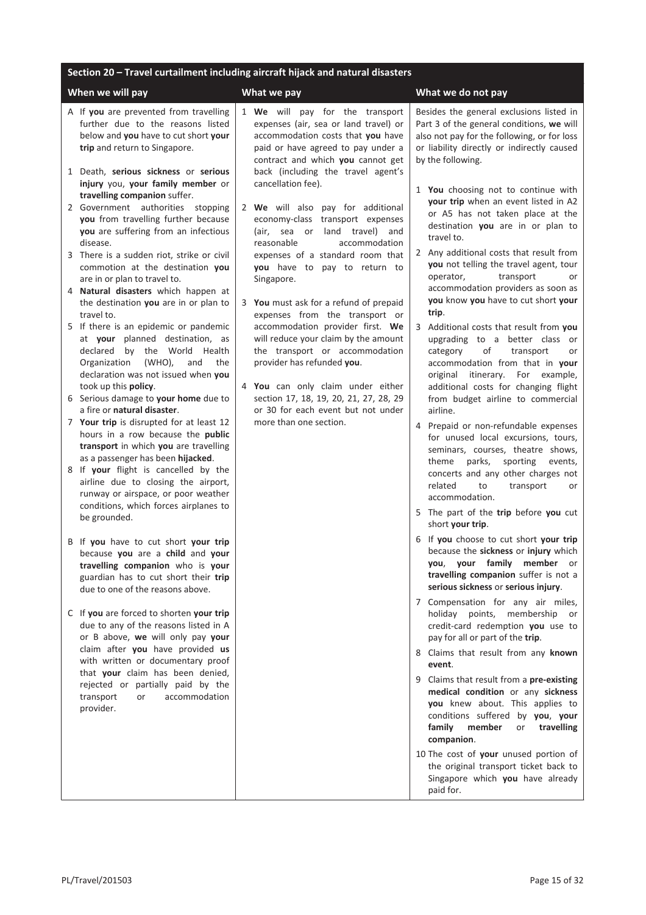## **Section 20 – Travel curtailment including aircraft hijack and natural disasters**

| When we will pay                                                                                                                                                                                                                                                                  | What we pay                                                                                                                                                                                                                                          | What we do not pay                                                                                                                                                                                                                                     |
|-----------------------------------------------------------------------------------------------------------------------------------------------------------------------------------------------------------------------------------------------------------------------------------|------------------------------------------------------------------------------------------------------------------------------------------------------------------------------------------------------------------------------------------------------|--------------------------------------------------------------------------------------------------------------------------------------------------------------------------------------------------------------------------------------------------------|
| A If you are prevented from travelling<br>further due to the reasons listed<br>below and you have to cut short your<br>trip and return to Singapore.<br>1 Death, serious sickness or serious<br>injury you, your family member or                                                 | 1 We will pay for the transport<br>expenses (air, sea or land travel) or<br>accommodation costs that you have<br>paid or have agreed to pay under a<br>contract and which you cannot get<br>back (including the travel agent's<br>cancellation fee). | Besides the general exclusions listed in<br>Part 3 of the general conditions, we will<br>also not pay for the following, or for loss<br>or liability directly or indirectly caused<br>by the following.                                                |
| travelling companion suffer.<br>2 Government authorities stopping<br>you from travelling further because<br>you are suffering from an infectious<br>disease.                                                                                                                      | 2 We will also pay for additional<br>economy-class transport expenses<br>(air, sea or land travel) and<br>reasonable<br>accommodation                                                                                                                | 1 You choosing not to continue with<br>your trip when an event listed in A2<br>or A5 has not taken place at the<br>destination you are in or plan to<br>travel to.                                                                                     |
| 3 There is a sudden riot, strike or civil<br>commotion at the destination you<br>are in or plan to travel to.<br>Natural disasters which happen at<br>the destination you are in or plan to                                                                                       | expenses of a standard room that<br>you have to pay to return to<br>Singapore.<br>3 You must ask for a refund of prepaid                                                                                                                             | 2 Any additional costs that result from<br>you not telling the travel agent, tour<br>transport<br>operator,<br>or<br>accommodation providers as soon as<br>you know you have to cut short your                                                         |
| travel to.<br>5 If there is an epidemic or pandemic<br>at your planned destination, as<br>declared by the World Health<br>Organization<br>(WHO),<br>and<br>the<br>declaration was not issued when you                                                                             | expenses from the transport or<br>accommodation provider first. We<br>will reduce your claim by the amount<br>the transport or accommodation<br>provider has refunded you.                                                                           | trip.<br>3 Additional costs that result from you<br>upgrading to a better class or<br>of<br>transport<br>category<br><b>or</b><br>accommodation from that in your<br>original itinerary. For example,                                                  |
| took up this policy.<br>6 Serious damage to your home due to<br>a fire or natural disaster.                                                                                                                                                                                       | 4 You can only claim under either<br>section 17, 18, 19, 20, 21, 27, 28, 29<br>or 30 for each event but not under                                                                                                                                    | additional costs for changing flight<br>from budget airline to commercial<br>airline.                                                                                                                                                                  |
| 7 Your trip is disrupted for at least 12<br>hours in a row because the public<br>transport in which you are travelling<br>as a passenger has been hijacked.<br>8 If your flight is cancelled by the<br>airline due to closing the airport,<br>runway or airspace, or poor weather | more than one section.                                                                                                                                                                                                                               | 4 Prepaid or non-refundable expenses<br>for unused local excursions, tours,<br>seminars, courses, theatre shows,<br>theme<br>parks,<br>sporting<br>events,<br>concerts and any other charges not<br>related<br>to<br>transport<br>or<br>accommodation. |
| conditions, which forces airplanes to<br>be grounded.                                                                                                                                                                                                                             |                                                                                                                                                                                                                                                      | 5 The part of the trip before you cut<br>short your trip.                                                                                                                                                                                              |
| B If you have to cut short your trip<br>because you are a child and your<br>travelling companion who is your<br>guardian has to cut short their trip<br>due to one of the reasons above.                                                                                          |                                                                                                                                                                                                                                                      | 6 If you choose to cut short your trip<br>because the sickness or injury which<br>you, your family member or<br>travelling companion suffer is not a<br>serious sickness or serious injury.                                                            |
| C If you are forced to shorten your trip<br>due to any of the reasons listed in A<br>or B above, we will only pay your                                                                                                                                                            |                                                                                                                                                                                                                                                      | 7 Compensation for any air miles,<br>holiday points, membership or<br>credit-card redemption you use to<br>pay for all or part of the trip.                                                                                                            |
| claim after you have provided us<br>with written or documentary proof                                                                                                                                                                                                             |                                                                                                                                                                                                                                                      | 8 Claims that result from any known<br>event.                                                                                                                                                                                                          |
| that your claim has been denied,<br>rejected or partially paid by the<br>transport<br>accommodation<br>or<br>provider.                                                                                                                                                            |                                                                                                                                                                                                                                                      | 9 Claims that result from a pre-existing<br>medical condition or any sickness<br>you knew about. This applies to<br>conditions suffered by you, your<br>member<br>family<br>or<br>travelling<br>companion.                                             |
|                                                                                                                                                                                                                                                                                   |                                                                                                                                                                                                                                                      | 10 The cost of your unused portion of<br>the original transport ticket back to<br>Singapore which you have already<br>paid for.                                                                                                                        |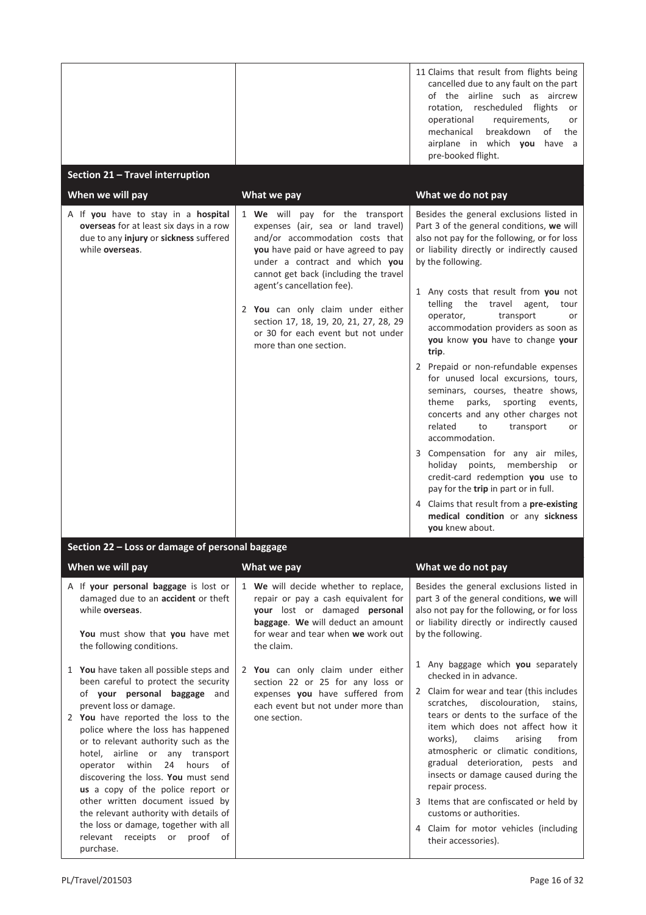| Section 21 - Travel interruption<br>When we will pay<br>A If you have to stay in a hospital<br>overseas for at least six days in a row<br>due to any injury or sickness suffered<br>while overseas.                                                                                                                                                                                                                                                                                                                                                                                      | What we pay<br>1 We will pay for the transport<br>expenses (air, sea or land travel)<br>and/or accommodation costs that<br>you have paid or have agreed to pay<br>under a contract and which you<br>cannot get back (including the travel<br>agent's cancellation fee).<br>2 You can only claim under either<br>section 17, 18, 19, 20, 21, 27, 28, 29<br>or 30 for each event but not under<br>more than one section. | 11 Claims that result from flights being<br>cancelled due to any fault on the part<br>of the airline such as aircrew<br>rotation, rescheduled<br>flights<br>or<br>operational<br>requirements,<br>or<br>breakdown<br>mechanical<br>of<br>the<br>airplane in which you have a<br>pre-booked flight.<br>What we do not pay<br>Besides the general exclusions listed in<br>Part 3 of the general conditions, we will<br>also not pay for the following, or for loss<br>or liability directly or indirectly caused<br>by the following.<br>1 Any costs that result from you not<br>telling the travel agent,<br>tour<br>operator,<br>transport<br>or<br>accommodation providers as soon as<br>you know you have to change your<br>trip.<br>2 Prepaid or non-refundable expenses<br>for unused local excursions, tours,<br>seminars, courses, theatre shows,<br>theme<br>parks,<br>sporting<br>events,<br>concerts and any other charges not<br>related<br>to<br>transport<br>or<br>accommodation. |
|------------------------------------------------------------------------------------------------------------------------------------------------------------------------------------------------------------------------------------------------------------------------------------------------------------------------------------------------------------------------------------------------------------------------------------------------------------------------------------------------------------------------------------------------------------------------------------------|------------------------------------------------------------------------------------------------------------------------------------------------------------------------------------------------------------------------------------------------------------------------------------------------------------------------------------------------------------------------------------------------------------------------|-----------------------------------------------------------------------------------------------------------------------------------------------------------------------------------------------------------------------------------------------------------------------------------------------------------------------------------------------------------------------------------------------------------------------------------------------------------------------------------------------------------------------------------------------------------------------------------------------------------------------------------------------------------------------------------------------------------------------------------------------------------------------------------------------------------------------------------------------------------------------------------------------------------------------------------------------------------------------------------------------|
|                                                                                                                                                                                                                                                                                                                                                                                                                                                                                                                                                                                          |                                                                                                                                                                                                                                                                                                                                                                                                                        | 3 Compensation for any air miles,<br>holiday points, membership<br>or<br>credit-card redemption you use to<br>pay for the trip in part or in full.<br>4 Claims that result from a pre-existing<br>medical condition or any sickness<br>you knew about.                                                                                                                                                                                                                                                                                                                                                                                                                                                                                                                                                                                                                                                                                                                                        |
| Section 22 - Loss or damage of personal baggage                                                                                                                                                                                                                                                                                                                                                                                                                                                                                                                                          |                                                                                                                                                                                                                                                                                                                                                                                                                        |                                                                                                                                                                                                                                                                                                                                                                                                                                                                                                                                                                                                                                                                                                                                                                                                                                                                                                                                                                                               |
| When we will pay                                                                                                                                                                                                                                                                                                                                                                                                                                                                                                                                                                         | What we pay                                                                                                                                                                                                                                                                                                                                                                                                            | What we do not pay                                                                                                                                                                                                                                                                                                                                                                                                                                                                                                                                                                                                                                                                                                                                                                                                                                                                                                                                                                            |
| A If your personal baggage is lost or<br>damaged due to an accident or theft<br>while overseas.<br>You must show that you have met<br>the following conditions.                                                                                                                                                                                                                                                                                                                                                                                                                          | 1 We will decide whether to replace,<br>repair or pay a cash equivalent for<br>your lost or damaged personal<br>baggage. We will deduct an amount<br>for wear and tear when we work out<br>the claim.                                                                                                                                                                                                                  | Besides the general exclusions listed in<br>part 3 of the general conditions, we will<br>also not pay for the following, or for loss<br>or liability directly or indirectly caused<br>by the following.                                                                                                                                                                                                                                                                                                                                                                                                                                                                                                                                                                                                                                                                                                                                                                                       |
| 1 You have taken all possible steps and<br>been careful to protect the security<br>of your personal baggage and<br>prevent loss or damage.<br>2 You have reported the loss to the<br>police where the loss has happened<br>or to relevant authority such as the<br>hotel, airline or any transport<br>operator within<br>24<br>hours of<br>discovering the loss. You must send<br>us a copy of the police report or<br>other written document issued by<br>the relevant authority with details of<br>the loss or damage, together with all<br>relevant receipts or proof of<br>purchase. | 2 You can only claim under either<br>section 22 or 25 for any loss or<br>expenses you have suffered from<br>each event but not under more than<br>one section.                                                                                                                                                                                                                                                         | 1 Any baggage which you separately<br>checked in in advance.<br>2 Claim for wear and tear (this includes<br>scratches, discolouration,<br>stains,<br>tears or dents to the surface of the<br>item which does not affect how it<br>works),<br>arising<br>from<br>claims<br>atmospheric or climatic conditions,<br>gradual deterioration, pests and<br>insects or damage caused during the<br>repair process.<br>3 Items that are confiscated or held by<br>customs or authorities.<br>4 Claim for motor vehicles (including<br>their accessories).                                                                                                                                                                                                                                                                                                                                                                                                                                             |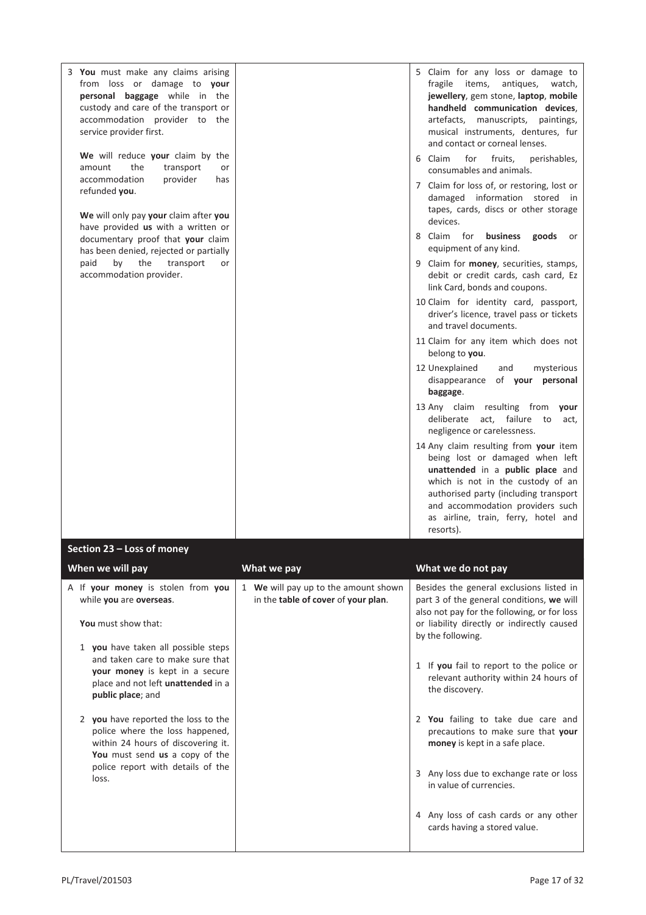| 3 You must make any claims arising<br>from loss or damage to your<br>personal baggage while in the<br>custody and care of the transport or<br>accommodation provider to the<br>service provider first.<br>We will reduce your claim by the<br>the<br>amount<br>transport<br>or<br>accommodation<br>provider<br>has<br>refunded you.<br>We will only pay your claim after you<br>have provided us with a written or<br>documentary proof that your claim<br>has been denied, rejected or partially<br>the<br>paid<br>by<br>transport<br>or<br>accommodation provider. |                                                                             | 5 Claim for any loss or damage to<br>fragile items,<br>antiques,<br>watch,<br>jewellery, gem stone, laptop, mobile<br>handheld communication devices,<br>artefacts, manuscripts, paintings,<br>musical instruments, dentures, fur<br>and contact or corneal lenses.<br>6 Claim<br>for<br>fruits,<br>perishables,<br>consumables and animals.<br>7 Claim for loss of, or restoring, lost or<br>damaged information stored in<br>tapes, cards, discs or other storage<br>devices.<br>8 Claim for <b>business</b><br>goods<br>or<br>equipment of any kind.<br>9 Claim for money, securities, stamps,<br>debit or credit cards, cash card, Ez<br>link Card, bonds and coupons.<br>10 Claim for identity card, passport,<br>driver's licence, travel pass or tickets<br>and travel documents.<br>11 Claim for any item which does not<br>belong to you.<br>12 Unexplained |
|----------------------------------------------------------------------------------------------------------------------------------------------------------------------------------------------------------------------------------------------------------------------------------------------------------------------------------------------------------------------------------------------------------------------------------------------------------------------------------------------------------------------------------------------------------------------|-----------------------------------------------------------------------------|----------------------------------------------------------------------------------------------------------------------------------------------------------------------------------------------------------------------------------------------------------------------------------------------------------------------------------------------------------------------------------------------------------------------------------------------------------------------------------------------------------------------------------------------------------------------------------------------------------------------------------------------------------------------------------------------------------------------------------------------------------------------------------------------------------------------------------------------------------------------|
|                                                                                                                                                                                                                                                                                                                                                                                                                                                                                                                                                                      |                                                                             | mysterious<br>and<br>disappearance<br>of your personal<br>baggage.                                                                                                                                                                                                                                                                                                                                                                                                                                                                                                                                                                                                                                                                                                                                                                                                   |
|                                                                                                                                                                                                                                                                                                                                                                                                                                                                                                                                                                      |                                                                             | 13 Any claim resulting from your<br>deliberate act, failure to<br>act,<br>negligence or carelessness.                                                                                                                                                                                                                                                                                                                                                                                                                                                                                                                                                                                                                                                                                                                                                                |
|                                                                                                                                                                                                                                                                                                                                                                                                                                                                                                                                                                      |                                                                             | 14 Any claim resulting from your item<br>being lost or damaged when left<br>unattended in a public place and<br>which is not in the custody of an<br>authorised party (including transport<br>and accommodation providers such<br>as airline, train, ferry, hotel and<br>resorts).                                                                                                                                                                                                                                                                                                                                                                                                                                                                                                                                                                                   |
| Section 23 - Loss of money                                                                                                                                                                                                                                                                                                                                                                                                                                                                                                                                           |                                                                             |                                                                                                                                                                                                                                                                                                                                                                                                                                                                                                                                                                                                                                                                                                                                                                                                                                                                      |
| When we will pay                                                                                                                                                                                                                                                                                                                                                                                                                                                                                                                                                     | What we pay                                                                 | What we do not pay                                                                                                                                                                                                                                                                                                                                                                                                                                                                                                                                                                                                                                                                                                                                                                                                                                                   |
| A If your money is stolen from you<br>while you are overseas.<br>You must show that:                                                                                                                                                                                                                                                                                                                                                                                                                                                                                 | 1 We will pay up to the amount shown<br>in the table of cover of your plan. | Besides the general exclusions listed in<br>part 3 of the general conditions, we will<br>also not pay for the following, or for loss<br>or liability directly or indirectly caused                                                                                                                                                                                                                                                                                                                                                                                                                                                                                                                                                                                                                                                                                   |
| 1 you have taken all possible steps<br>and taken care to make sure that                                                                                                                                                                                                                                                                                                                                                                                                                                                                                              |                                                                             | by the following.                                                                                                                                                                                                                                                                                                                                                                                                                                                                                                                                                                                                                                                                                                                                                                                                                                                    |

- 1 If **you** fail to report to the police or relevant authority within 24 hours of the discovery.
- 2 **You** failing to take due care and precautions to make sure that **your money** is kept in a safe place.
- 3 Any loss due to exchange rate or loss in value of currencies.
- 4 Any loss of cash cards or any other cards having a stored value.

loss.

**your money** is kept in a secure place and not left **unattended** in a

2 **you** have reported the loss to the police where the loss happened, within 24 hours of discovering it. **You** must send **us** a copy of the police report with details of the

**public place**; and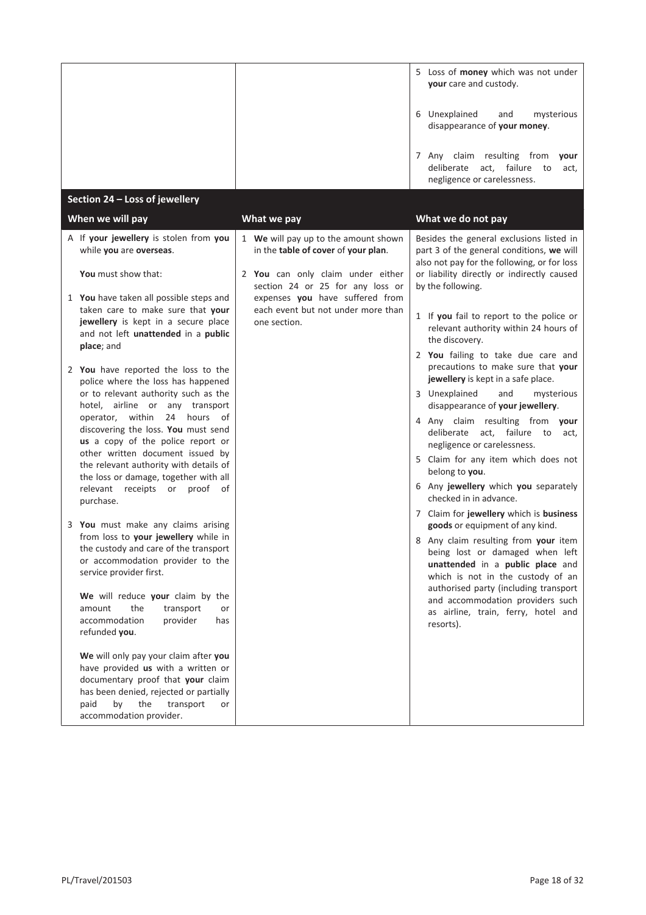|                                                                                                                                                                                                                         |                                                                             | 5 Loss of money which was not under<br>your care and custody.                                                                                                                             |
|-------------------------------------------------------------------------------------------------------------------------------------------------------------------------------------------------------------------------|-----------------------------------------------------------------------------|-------------------------------------------------------------------------------------------------------------------------------------------------------------------------------------------|
|                                                                                                                                                                                                                         |                                                                             | 6 Unexplained<br>mysterious<br>and<br>disappearance of your money.                                                                                                                        |
|                                                                                                                                                                                                                         |                                                                             | 7 Any claim resulting from<br>your<br>deliberate<br>act,<br>failure<br>to<br>act,<br>negligence or carelessness.                                                                          |
| Section 24 - Loss of jewellery                                                                                                                                                                                          |                                                                             |                                                                                                                                                                                           |
| When we will pay                                                                                                                                                                                                        | What we pay                                                                 | What we do not pay                                                                                                                                                                        |
| A If your jewellery is stolen from you<br>while you are overseas.                                                                                                                                                       | 1 We will pay up to the amount shown<br>in the table of cover of your plan. | Besides the general exclusions listed in<br>part 3 of the general conditions, we will<br>also not pay for the following, or for loss                                                      |
| You must show that:                                                                                                                                                                                                     | 2 You can only claim under either<br>section 24 or 25 for any loss or       | or liability directly or indirectly caused<br>by the following.                                                                                                                           |
| 1 You have taken all possible steps and<br>taken care to make sure that your                                                                                                                                            | expenses you have suffered from<br>each event but not under more than       |                                                                                                                                                                                           |
| jewellery is kept in a secure place<br>and not left unattended in a public                                                                                                                                              | one section.                                                                | 1 If you fail to report to the police or<br>relevant authority within 24 hours of<br>the discovery.                                                                                       |
| place; and                                                                                                                                                                                                              |                                                                             | 2 You failing to take due care and                                                                                                                                                        |
| 2 You have reported the loss to the<br>police where the loss has happened                                                                                                                                               |                                                                             | precautions to make sure that your<br>jewellery is kept in a safe place.                                                                                                                  |
| or to relevant authority such as the<br>hotel, airline or any transport<br>operator, within<br>24 hours of                                                                                                              |                                                                             | 3 Unexplained<br>and<br>mysterious<br>disappearance of your jewellery.                                                                                                                    |
| discovering the loss. You must send<br>us a copy of the police report or                                                                                                                                                |                                                                             | 4 Any claim resulting from your<br>deliberate act, failure to<br>act,<br>negligence or carelessness.                                                                                      |
| other written document issued by<br>the relevant authority with details of<br>the loss or damage, together with all                                                                                                     |                                                                             | 5 Claim for any item which does not<br>belong to you.                                                                                                                                     |
| relevant receipts or proof of<br>purchase.                                                                                                                                                                              |                                                                             | 6 Any jewellery which you separately<br>checked in in advance.                                                                                                                            |
| 3 You must make any claims arising                                                                                                                                                                                      |                                                                             | 7 Claim for jewellery which is business<br>goods or equipment of any kind.                                                                                                                |
| from loss to your jewellery while in<br>the custody and care of the transport<br>or accommodation provider to the<br>service provider first.                                                                            |                                                                             | 8 Any claim resulting from your item<br>being lost or damaged when left<br>unattended in a public place and<br>which is not in the custody of an<br>authorised party (including transport |
| We will reduce your claim by the<br>amount<br>the<br>transport<br>accommodation<br>provider<br>refunded you.                                                                                                            | or<br>has                                                                   | and accommodation providers such<br>as airline, train, ferry, hotel and<br>resorts).                                                                                                      |
| We will only pay your claim after you<br>have provided us with a written or<br>documentary proof that your claim<br>has been denied, rejected or partially<br>the<br>transport<br>paid<br>by<br>accommodation provider. | or                                                                          |                                                                                                                                                                                           |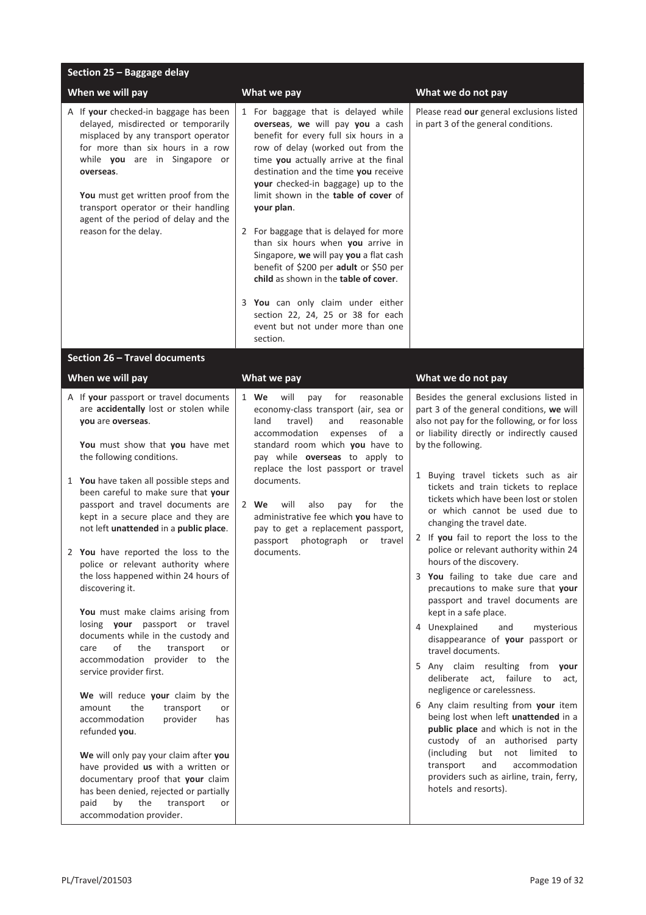| Section 25 - Baggage delay                                                                                                                                                                                                                                                                                                                                                                                                                                                                                                                                                                                                                                                                                                                                                                                                                                                                                                                                                                                                                                                                          |                                                                                                                                                                                                                                                                                                                                                                                                                                                                                                                                                                                                                                                                           |                                                                                                                                                                                                                                                                                                                                                                                                                                                                                                                                                                                                                                                                                                                                                                                                                                                                                                                                                                                                                                                                                                                                                                              |
|-----------------------------------------------------------------------------------------------------------------------------------------------------------------------------------------------------------------------------------------------------------------------------------------------------------------------------------------------------------------------------------------------------------------------------------------------------------------------------------------------------------------------------------------------------------------------------------------------------------------------------------------------------------------------------------------------------------------------------------------------------------------------------------------------------------------------------------------------------------------------------------------------------------------------------------------------------------------------------------------------------------------------------------------------------------------------------------------------------|---------------------------------------------------------------------------------------------------------------------------------------------------------------------------------------------------------------------------------------------------------------------------------------------------------------------------------------------------------------------------------------------------------------------------------------------------------------------------------------------------------------------------------------------------------------------------------------------------------------------------------------------------------------------------|------------------------------------------------------------------------------------------------------------------------------------------------------------------------------------------------------------------------------------------------------------------------------------------------------------------------------------------------------------------------------------------------------------------------------------------------------------------------------------------------------------------------------------------------------------------------------------------------------------------------------------------------------------------------------------------------------------------------------------------------------------------------------------------------------------------------------------------------------------------------------------------------------------------------------------------------------------------------------------------------------------------------------------------------------------------------------------------------------------------------------------------------------------------------------|
| When we will pay                                                                                                                                                                                                                                                                                                                                                                                                                                                                                                                                                                                                                                                                                                                                                                                                                                                                                                                                                                                                                                                                                    | What we pay                                                                                                                                                                                                                                                                                                                                                                                                                                                                                                                                                                                                                                                               | What we do not pay                                                                                                                                                                                                                                                                                                                                                                                                                                                                                                                                                                                                                                                                                                                                                                                                                                                                                                                                                                                                                                                                                                                                                           |
| A If your checked-in baggage has been<br>delayed, misdirected or temporarily<br>misplaced by any transport operator<br>for more than six hours in a row<br>while you are in Singapore or<br>overseas.<br>You must get written proof from the<br>transport operator or their handling<br>agent of the period of delay and the<br>reason for the delay.                                                                                                                                                                                                                                                                                                                                                                                                                                                                                                                                                                                                                                                                                                                                               | 1 For baggage that is delayed while<br>overseas, we will pay you a cash<br>benefit for every full six hours in a<br>row of delay (worked out from the<br>time you actually arrive at the final<br>destination and the time you receive<br>your checked-in baggage) up to the<br>limit shown in the table of cover of<br>your plan.<br>2 For baggage that is delayed for more<br>than six hours when you arrive in<br>Singapore, we will pay you a flat cash<br>benefit of \$200 per adult or \$50 per<br>child as shown in the table of cover.<br>3 You can only claim under either<br>section 22, 24, 25 or 38 for each<br>event but not under more than one<br>section. | Please read our general exclusions listed<br>in part 3 of the general conditions.                                                                                                                                                                                                                                                                                                                                                                                                                                                                                                                                                                                                                                                                                                                                                                                                                                                                                                                                                                                                                                                                                            |
| Section 26 - Travel documents                                                                                                                                                                                                                                                                                                                                                                                                                                                                                                                                                                                                                                                                                                                                                                                                                                                                                                                                                                                                                                                                       |                                                                                                                                                                                                                                                                                                                                                                                                                                                                                                                                                                                                                                                                           |                                                                                                                                                                                                                                                                                                                                                                                                                                                                                                                                                                                                                                                                                                                                                                                                                                                                                                                                                                                                                                                                                                                                                                              |
| When we will pay                                                                                                                                                                                                                                                                                                                                                                                                                                                                                                                                                                                                                                                                                                                                                                                                                                                                                                                                                                                                                                                                                    | What we pay                                                                                                                                                                                                                                                                                                                                                                                                                                                                                                                                                                                                                                                               | What we do not pay                                                                                                                                                                                                                                                                                                                                                                                                                                                                                                                                                                                                                                                                                                                                                                                                                                                                                                                                                                                                                                                                                                                                                           |
| A If your passport or travel documents<br>are accidentally lost or stolen while<br>you are overseas.<br>You must show that you have met<br>the following conditions.<br>1 You have taken all possible steps and<br>been careful to make sure that your<br>passport and travel documents are<br>kept in a secure place and they are<br>not left unattended in a public place.<br>2 You have reported the loss to the<br>police or relevant authority where<br>the loss happened within 24 hours of<br>discovering it.<br>You must make claims arising from<br>losing your passport or travel<br>documents while in the custody and<br>οf<br>the<br>transport<br>care<br>or<br>accommodation provider to the<br>service provider first.<br>We will reduce your claim by the<br>the<br>transport<br>amount<br>or<br>provider<br>accommodation<br>has<br>refunded you.<br>We will only pay your claim after you<br>have provided us with a written or<br>documentary proof that your claim<br>has been denied, rejected or partially<br>the<br>paid<br>by<br>transport<br>or<br>accommodation provider. | 1 We<br>will<br>for<br>pay<br>reasonable<br>economy-class transport (air, sea or<br>travel)<br>reasonable<br>land<br>and<br>accommodation<br>of a<br>expenses<br>standard room which you have to<br>pay while overseas to apply to<br>replace the lost passport or travel<br>documents.<br>2 We<br>will<br>also<br>pay<br>for<br>the<br>administrative fee which you have to<br>pay to get a replacement passport,<br>passport photograph<br>or travel<br>documents.                                                                                                                                                                                                      | Besides the general exclusions listed in<br>part 3 of the general conditions, we will<br>also not pay for the following, or for loss<br>or liability directly or indirectly caused<br>by the following.<br>1 Buying travel tickets such as air<br>tickets and train tickets to replace<br>tickets which have been lost or stolen<br>or which cannot be used due to<br>changing the travel date.<br>2 If you fail to report the loss to the<br>police or relevant authority within 24<br>hours of the discovery.<br>3 You failing to take due care and<br>precautions to make sure that your<br>passport and travel documents are<br>kept in a safe place.<br>4 Unexplained<br>mysterious<br>and<br>disappearance of your passport or<br>travel documents.<br>5 Any claim resulting from your<br>deliberate act, failure to<br>act,<br>negligence or carelessness.<br>6 Any claim resulting from your item<br>being lost when left unattended in a<br>public place and which is not in the<br>custody of an authorised party<br>(including)<br>but<br>not limited to<br>accommodation<br>transport<br>and<br>providers such as airline, train, ferry,<br>hotels and resorts). |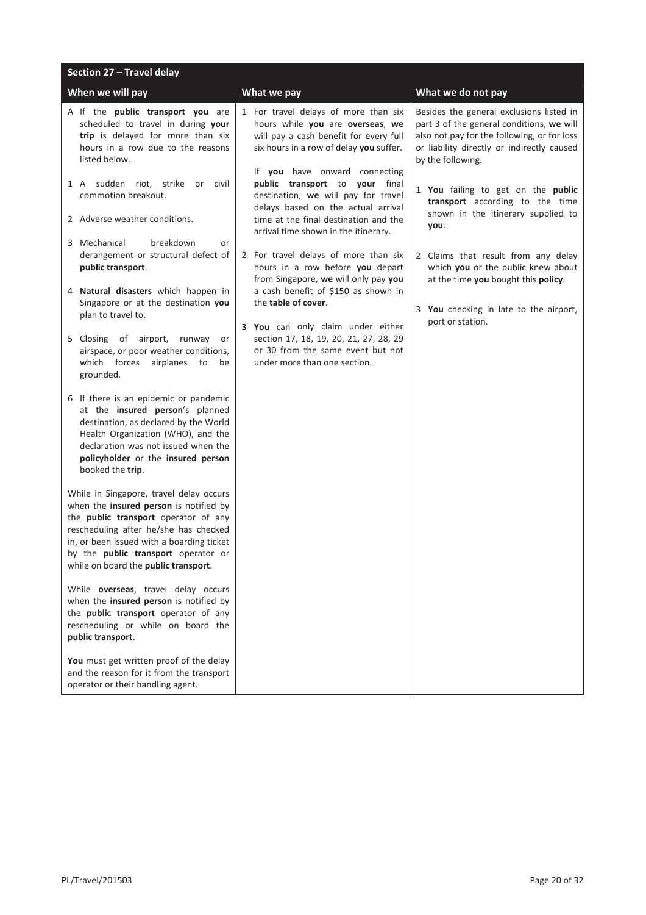| Section 27 - Travel delay                                                                                                                                                                                                                                                                             |                                                                                                                                                                                                |                                                                                                                                                                                                         |
|-------------------------------------------------------------------------------------------------------------------------------------------------------------------------------------------------------------------------------------------------------------------------------------------------------|------------------------------------------------------------------------------------------------------------------------------------------------------------------------------------------------|---------------------------------------------------------------------------------------------------------------------------------------------------------------------------------------------------------|
| When we will pay                                                                                                                                                                                                                                                                                      | What we pay                                                                                                                                                                                    | What we do not pay                                                                                                                                                                                      |
| A If the public transport you are<br>scheduled to travel in during your<br>trip is delayed for more than six<br>hours in a row due to the reasons<br>listed below.                                                                                                                                    | 1 For travel delays of more than six<br>hours while you are overseas, we<br>will pay a cash benefit for every full<br>six hours in a row of delay you suffer.<br>If you have onward connecting | Besides the general exclusions listed in<br>part 3 of the general conditions, we will<br>also not pay for the following, or for loss<br>or liability directly or indirectly caused<br>by the following. |
| 1 A sudden riot, strike<br>or civil<br>commotion breakout.<br>2 Adverse weather conditions.                                                                                                                                                                                                           | public transport to your final<br>destination, we will pay for travel<br>delays based on the actual arrival<br>time at the final destination and the                                           | 1 You failing to get on the public<br>transport according to the time<br>shown in the itinerary supplied to                                                                                             |
|                                                                                                                                                                                                                                                                                                       | arrival time shown in the itinerary.                                                                                                                                                           | you.                                                                                                                                                                                                    |
| 3 Mechanical<br>breakdown<br>or<br>derangement or structural defect of<br>public transport.                                                                                                                                                                                                           | 2 For travel delays of more than six<br>hours in a row before you depart<br>from Singapore, we will only pay you                                                                               | 2 Claims that result from any delay<br>which you or the public knew about<br>at the time you bought this policy.                                                                                        |
| 4 Natural disasters which happen in<br>Singapore or at the destination you<br>plan to travel to.                                                                                                                                                                                                      | a cash benefit of \$150 as shown in<br>the table of cover.                                                                                                                                     | 3 You checking in late to the airport,<br>port or station.                                                                                                                                              |
| 5 Closing of airport,<br>runway<br>or<br>airspace, or poor weather conditions,<br>which forces<br>airplanes to<br>be<br>grounded.                                                                                                                                                                     | 3 You can only claim under either<br>section 17, 18, 19, 20, 21, 27, 28, 29<br>or 30 from the same event but not<br>under more than one section.                                               |                                                                                                                                                                                                         |
| 6 If there is an epidemic or pandemic<br>at the insured person's planned<br>destination, as declared by the World<br>Health Organization (WHO), and the<br>declaration was not issued when the<br>policyholder or the insured person<br>booked the trip.                                              |                                                                                                                                                                                                |                                                                                                                                                                                                         |
| While in Singapore, travel delay occurs<br>when the insured person is notified by<br>the public transport operator of any<br>rescheduling after he/she has checked<br>in, or been issued with a boarding ticket<br>by the <b>public transport</b> operator or<br>while on board the public transport. |                                                                                                                                                                                                |                                                                                                                                                                                                         |
| While overseas, travel delay occurs<br>when the insured person is notified by<br>the public transport operator of any<br>rescheduling or while on board the<br>public transport.                                                                                                                      |                                                                                                                                                                                                |                                                                                                                                                                                                         |
| You must get written proof of the delay<br>and the reason for it from the transport<br>operator or their handling agent.                                                                                                                                                                              |                                                                                                                                                                                                |                                                                                                                                                                                                         |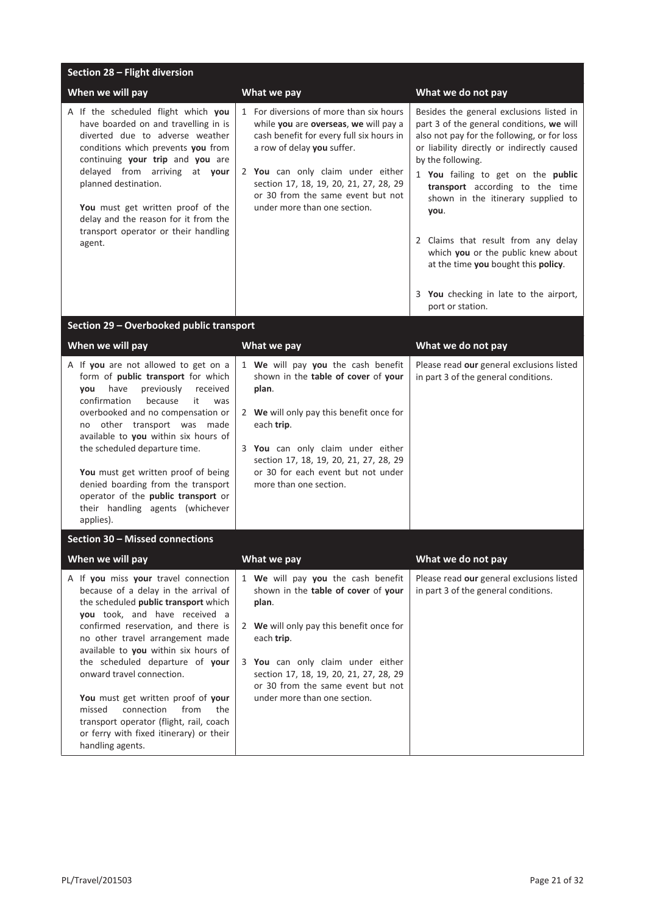| Section 28 - Flight diversion                                                                                                                                                                                                                                                                                                                                                                                                                                                                                                   |                                                                                                                                                                                                                                                                                                                |                                                                                                                                                                                                                                                                                                                                                                                                                                                                                                                  |  |
|---------------------------------------------------------------------------------------------------------------------------------------------------------------------------------------------------------------------------------------------------------------------------------------------------------------------------------------------------------------------------------------------------------------------------------------------------------------------------------------------------------------------------------|----------------------------------------------------------------------------------------------------------------------------------------------------------------------------------------------------------------------------------------------------------------------------------------------------------------|------------------------------------------------------------------------------------------------------------------------------------------------------------------------------------------------------------------------------------------------------------------------------------------------------------------------------------------------------------------------------------------------------------------------------------------------------------------------------------------------------------------|--|
| When we will pay                                                                                                                                                                                                                                                                                                                                                                                                                                                                                                                | What we pay                                                                                                                                                                                                                                                                                                    | What we do not pay                                                                                                                                                                                                                                                                                                                                                                                                                                                                                               |  |
| A If the scheduled flight which you<br>have boarded on and travelling in is<br>diverted due to adverse weather<br>conditions which prevents you from<br>continuing your trip and you are<br>delayed from arriving at your<br>planned destination.<br>You must get written proof of the<br>delay and the reason for it from the<br>transport operator or their handling<br>agent.                                                                                                                                                | 1 For diversions of more than six hours<br>while you are overseas, we will pay a<br>cash benefit for every full six hours in<br>a row of delay you suffer.<br>2 You can only claim under either<br>section 17, 18, 19, 20, 21, 27, 28, 29<br>or 30 from the same event but not<br>under more than one section. | Besides the general exclusions listed in<br>part 3 of the general conditions, we will<br>also not pay for the following, or for loss<br>or liability directly or indirectly caused<br>by the following.<br>1 You failing to get on the public<br>transport according to the time<br>shown in the itinerary supplied to<br>you.<br>2 Claims that result from any delay<br>which you or the public knew about<br>at the time you bought this policy.<br>3 You checking in late to the airport,<br>port or station. |  |
| Section 29 - Overbooked public transport                                                                                                                                                                                                                                                                                                                                                                                                                                                                                        |                                                                                                                                                                                                                                                                                                                |                                                                                                                                                                                                                                                                                                                                                                                                                                                                                                                  |  |
| When we will pay                                                                                                                                                                                                                                                                                                                                                                                                                                                                                                                | What we pay                                                                                                                                                                                                                                                                                                    | What we do not pay                                                                                                                                                                                                                                                                                                                                                                                                                                                                                               |  |
| A If you are not allowed to get on a<br>form of public transport for which<br>previously<br>have<br>received<br>you<br>confirmation<br>because<br>it<br>was<br>overbooked and no compensation or<br>no other transport was made<br>available to you within six hours of<br>the scheduled departure time.<br>You must get written proof of being<br>denied boarding from the transport<br>operator of the public transport or<br>their handling agents (whichever<br>applies).                                                   | 1 We will pay you the cash benefit<br>shown in the table of cover of your<br>plan.<br>2 We will only pay this benefit once for<br>each trip.<br>3 You can only claim under either<br>section 17, 18, 19, 20, 21, 27, 28, 29<br>or 30 for each event but not under<br>more than one section.                    | Please read our general exclusions listed<br>in part 3 of the general conditions.                                                                                                                                                                                                                                                                                                                                                                                                                                |  |
| Section 30 - Missed connections                                                                                                                                                                                                                                                                                                                                                                                                                                                                                                 |                                                                                                                                                                                                                                                                                                                |                                                                                                                                                                                                                                                                                                                                                                                                                                                                                                                  |  |
| When we will pay                                                                                                                                                                                                                                                                                                                                                                                                                                                                                                                | What we pay                                                                                                                                                                                                                                                                                                    | What we do not pay                                                                                                                                                                                                                                                                                                                                                                                                                                                                                               |  |
| A If you miss your travel connection<br>because of a delay in the arrival of<br>the scheduled public transport which<br>you took, and have received a<br>confirmed reservation, and there is<br>no other travel arrangement made<br>available to you within six hours of<br>the scheduled departure of your<br>onward travel connection.<br>You must get written proof of your<br>missed<br>connection<br>from<br>the<br>transport operator (flight, rail, coach<br>or ferry with fixed itinerary) or their<br>handling agents. | 1 We will pay you the cash benefit<br>shown in the table of cover of your<br>plan.<br>2 We will only pay this benefit once for<br>each trip.<br>3 You can only claim under either<br>section 17, 18, 19, 20, 21, 27, 28, 29<br>or 30 from the same event but not<br>under more than one section.               | Please read our general exclusions listed<br>in part 3 of the general conditions.                                                                                                                                                                                                                                                                                                                                                                                                                                |  |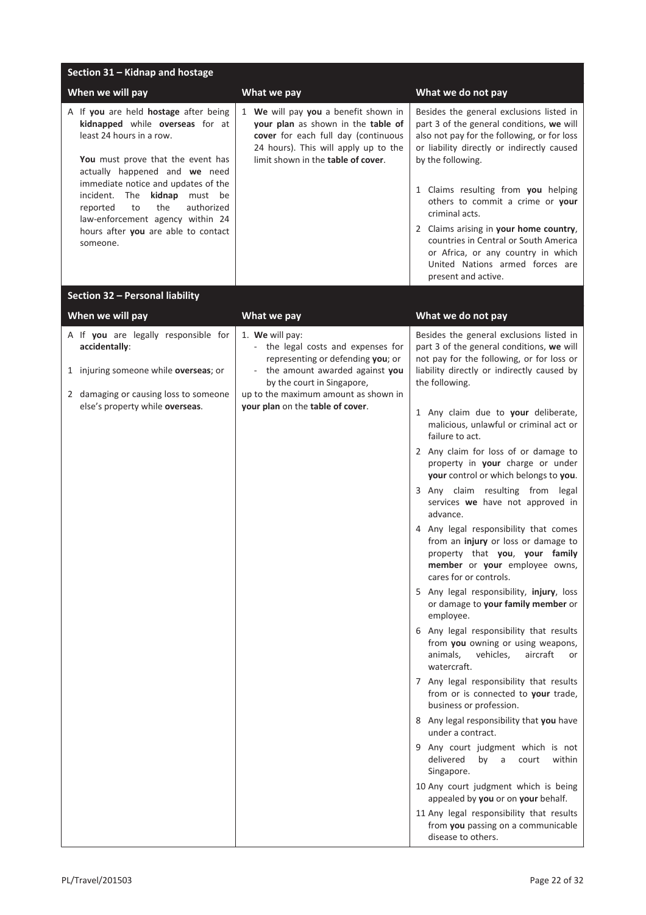| Section 31 - Kidnap and hostage                                                                                                                                                                                                                                                                                                                                                          |                                                                                                                                                                                                                                          |                                                                                                                                                                                                                                                                                                                                                                                                                                                                                                                                                                                                                                                                                                                                                                                                                                                                                                                                                                                                                                                                                                                                                                                                                                                                                                                                                                                                         |
|------------------------------------------------------------------------------------------------------------------------------------------------------------------------------------------------------------------------------------------------------------------------------------------------------------------------------------------------------------------------------------------|------------------------------------------------------------------------------------------------------------------------------------------------------------------------------------------------------------------------------------------|---------------------------------------------------------------------------------------------------------------------------------------------------------------------------------------------------------------------------------------------------------------------------------------------------------------------------------------------------------------------------------------------------------------------------------------------------------------------------------------------------------------------------------------------------------------------------------------------------------------------------------------------------------------------------------------------------------------------------------------------------------------------------------------------------------------------------------------------------------------------------------------------------------------------------------------------------------------------------------------------------------------------------------------------------------------------------------------------------------------------------------------------------------------------------------------------------------------------------------------------------------------------------------------------------------------------------------------------------------------------------------------------------------|
| When we will pay                                                                                                                                                                                                                                                                                                                                                                         | What we pay                                                                                                                                                                                                                              | What we do not pay                                                                                                                                                                                                                                                                                                                                                                                                                                                                                                                                                                                                                                                                                                                                                                                                                                                                                                                                                                                                                                                                                                                                                                                                                                                                                                                                                                                      |
| A If you are held hostage after being<br>kidnapped while overseas for at<br>least 24 hours in a row.<br>You must prove that the event has<br>actually happened and we need<br>immediate notice and updates of the<br>The<br>kidnap<br>incident.<br>must be<br>the<br>authorized<br>reported<br>to<br>law-enforcement agency within 24<br>hours after you are able to contact<br>someone. | 1 We will pay you a benefit shown in<br>your plan as shown in the table of<br>cover for each full day (continuous<br>24 hours). This will apply up to the<br>limit shown in the table of cover.                                          | Besides the general exclusions listed in<br>part 3 of the general conditions, we will<br>also not pay for the following, or for loss<br>or liability directly or indirectly caused<br>by the following.<br>1 Claims resulting from you helping<br>others to commit a crime or your<br>criminal acts.<br>2 Claims arising in your home country,<br>countries in Central or South America<br>or Africa, or any country in which<br>United Nations armed forces are<br>present and active.                                                                                                                                                                                                                                                                                                                                                                                                                                                                                                                                                                                                                                                                                                                                                                                                                                                                                                                 |
| Section 32 - Personal liability                                                                                                                                                                                                                                                                                                                                                          |                                                                                                                                                                                                                                          |                                                                                                                                                                                                                                                                                                                                                                                                                                                                                                                                                                                                                                                                                                                                                                                                                                                                                                                                                                                                                                                                                                                                                                                                                                                                                                                                                                                                         |
| When we will pay                                                                                                                                                                                                                                                                                                                                                                         | What we pay                                                                                                                                                                                                                              | What we do not pay                                                                                                                                                                                                                                                                                                                                                                                                                                                                                                                                                                                                                                                                                                                                                                                                                                                                                                                                                                                                                                                                                                                                                                                                                                                                                                                                                                                      |
| A If you are legally responsible for<br>accidentally:<br>1 injuring someone while overseas; or<br>2 damaging or causing loss to someone<br>else's property while overseas.                                                                                                                                                                                                               | 1. We will pay:<br>- the legal costs and expenses for<br>representing or defending you; or<br>- the amount awarded against you<br>by the court in Singapore,<br>up to the maximum amount as shown in<br>your plan on the table of cover. | Besides the general exclusions listed in<br>part 3 of the general conditions, we will<br>not pay for the following, or for loss or<br>liability directly or indirectly caused by<br>the following.<br>1 Any claim due to your deliberate,<br>malicious, unlawful or criminal act or<br>failure to act.<br>2 Any claim for loss of or damage to<br>property in your charge or under<br>your control or which belongs to you.<br>3 Any claim resulting from legal<br>services we have not approved in<br>advance.<br>4 Any legal responsibility that comes<br>from an injury or loss or damage to<br>property that you, your family<br>member or your employee owns,<br>cares for or controls.<br>5 Any legal responsibility, injury, loss<br>or damage to your family member or<br>employee.<br>6 Any legal responsibility that results<br>from you owning or using weapons,<br>vehicles,<br>animals,<br>aircraft<br>or<br>watercraft.<br>7 Any legal responsibility that results<br>from or is connected to your trade,<br>business or profession.<br>8 Any legal responsibility that you have<br>under a contract.<br>9 Any court judgment which is not<br>delivered<br>by<br>a<br>court<br>within<br>Singapore.<br>10 Any court judgment which is being<br>appealed by you or on your behalf.<br>11 Any legal responsibility that results<br>from you passing on a communicable<br>disease to others. |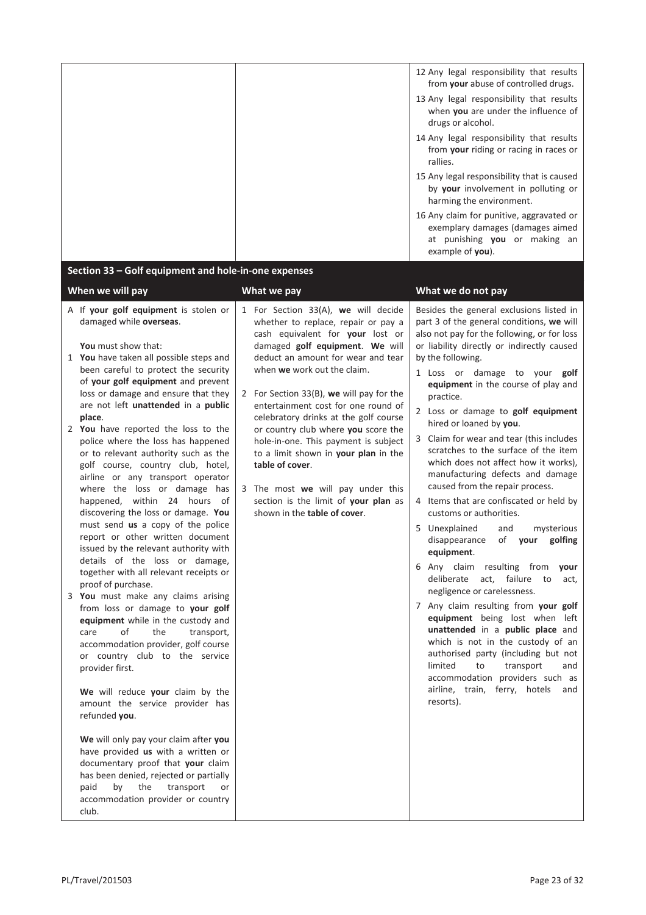| 12 Any legal responsibility that results<br>from your abuse of controlled drugs.                                                  |
|-----------------------------------------------------------------------------------------------------------------------------------|
| 13 Any legal responsibility that results<br>when you are under the influence of<br>drugs or alcohol.                              |
| 14 Any legal responsibility that results<br>from your riding or racing in races or<br>rallies.                                    |
| 15 Any legal responsibility that is caused<br>by <b>your</b> involvement in polluting or<br>harming the environment.              |
| 16 Any claim for punitive, aggravated or<br>exemplary damages (damages aimed<br>at punishing you or making an<br>example of you). |

## **Section 33 – Golf equipment and hole-in-one expenses**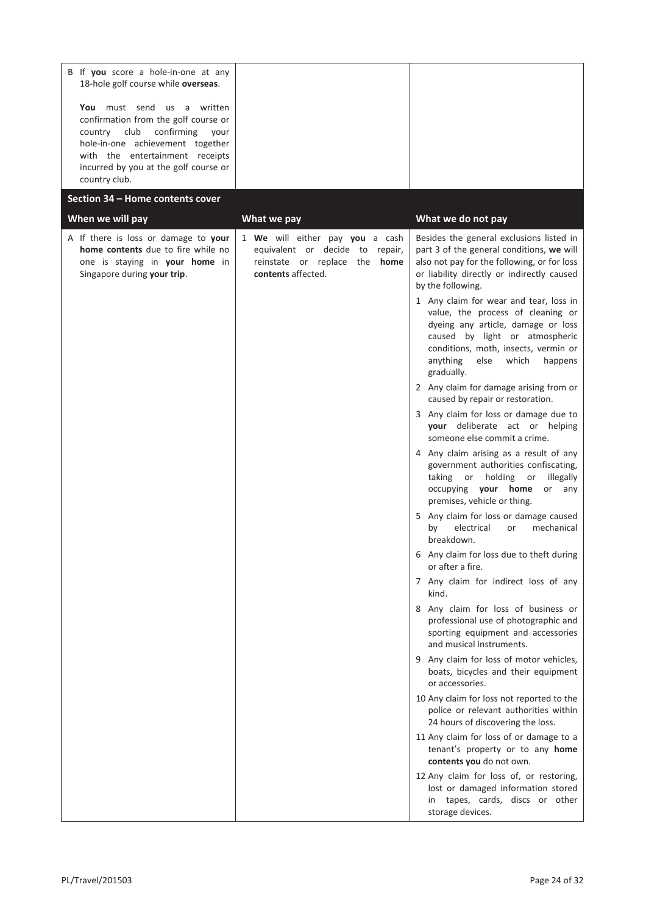| B If you score a hole-in-one at any<br>18-hole golf course while overseas.                                                                                                                                                             |                                                                                                                                  |                                                                                                                                                                                                                                                   |
|----------------------------------------------------------------------------------------------------------------------------------------------------------------------------------------------------------------------------------------|----------------------------------------------------------------------------------------------------------------------------------|---------------------------------------------------------------------------------------------------------------------------------------------------------------------------------------------------------------------------------------------------|
| You must send us a written<br>confirmation from the golf course or<br>country club confirming<br>your<br>hole-in-one achievement together<br>with the entertainment receipts<br>incurred by you at the golf course or<br>country club. |                                                                                                                                  |                                                                                                                                                                                                                                                   |
| Section 34 - Home contents cover                                                                                                                                                                                                       |                                                                                                                                  |                                                                                                                                                                                                                                                   |
| When we will pay                                                                                                                                                                                                                       | What we pay                                                                                                                      | What we do not pay                                                                                                                                                                                                                                |
| A If there is loss or damage to your<br>home contents due to fire while no<br>one is staying in your home in<br>Singapore during your trip.                                                                                            | 1 We will either pay you a cash<br>equivalent or decide to repair,<br>reinstate or replace the <b>home</b><br>contents affected. | Besides the general exclusions listed in<br>part 3 of the general conditions, we will<br>also not pay for the following, or for loss<br>or liability directly or indirectly caused<br>by the following.<br>1 Any claim for wear and tear, loss in |
|                                                                                                                                                                                                                                        |                                                                                                                                  | value, the process of cleaning or<br>dyeing any article, damage or loss<br>caused by light or atmospheric<br>conditions, moth, insects, vermin or<br>anything<br>else<br>which<br>happens<br>gradually.                                           |
|                                                                                                                                                                                                                                        |                                                                                                                                  | 2 Any claim for damage arising from or<br>caused by repair or restoration.                                                                                                                                                                        |
|                                                                                                                                                                                                                                        |                                                                                                                                  | 3 Any claim for loss or damage due to<br>your deliberate act or helping<br>someone else commit a crime.                                                                                                                                           |
|                                                                                                                                                                                                                                        |                                                                                                                                  | 4 Any claim arising as a result of any<br>government authorities confiscating,<br>taking or<br>holding<br>illegally<br>or<br>occupying your home<br>or<br>any<br>premises, vehicle or thing.                                                      |
|                                                                                                                                                                                                                                        |                                                                                                                                  | 5 Any claim for loss or damage caused<br>electrical<br>mechanical<br>by<br>or<br>breakdown.                                                                                                                                                       |
|                                                                                                                                                                                                                                        |                                                                                                                                  | 6 Any claim for loss due to theft during<br>or after a fire.                                                                                                                                                                                      |
|                                                                                                                                                                                                                                        |                                                                                                                                  | 7 Any claim for indirect loss of any<br>kind.                                                                                                                                                                                                     |
|                                                                                                                                                                                                                                        |                                                                                                                                  | 8 Any claim for loss of business or<br>professional use of photographic and<br>sporting equipment and accessories<br>and musical instruments.                                                                                                     |
|                                                                                                                                                                                                                                        |                                                                                                                                  | 9 Any claim for loss of motor vehicles,<br>boats, bicycles and their equipment<br>or accessories.                                                                                                                                                 |
|                                                                                                                                                                                                                                        |                                                                                                                                  | 10 Any claim for loss not reported to the<br>police or relevant authorities within<br>24 hours of discovering the loss.                                                                                                                           |
|                                                                                                                                                                                                                                        |                                                                                                                                  | 11 Any claim for loss of or damage to a<br>tenant's property or to any home<br>contents you do not own.                                                                                                                                           |
|                                                                                                                                                                                                                                        |                                                                                                                                  | 12 Any claim for loss of, or restoring,<br>lost or damaged information stored<br>in tapes, cards, discs or other<br>storage devices.                                                                                                              |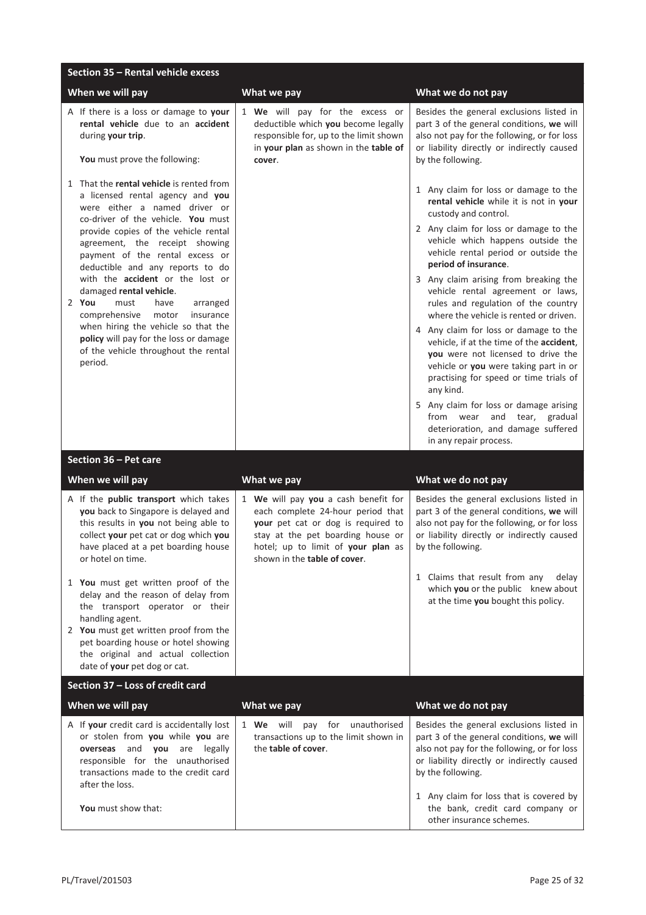| Section 35 - Rental vehicle excess                                                                                                                                                                                                                                                                                                                                                                                                                                                                                                                                                         |                                                                                                                                                                                                                                    |                                                                                                                                                                                                                                                                                                                                                                                                                                                                                                                                                                                                                                                                                                                                                                                             |
|--------------------------------------------------------------------------------------------------------------------------------------------------------------------------------------------------------------------------------------------------------------------------------------------------------------------------------------------------------------------------------------------------------------------------------------------------------------------------------------------------------------------------------------------------------------------------------------------|------------------------------------------------------------------------------------------------------------------------------------------------------------------------------------------------------------------------------------|---------------------------------------------------------------------------------------------------------------------------------------------------------------------------------------------------------------------------------------------------------------------------------------------------------------------------------------------------------------------------------------------------------------------------------------------------------------------------------------------------------------------------------------------------------------------------------------------------------------------------------------------------------------------------------------------------------------------------------------------------------------------------------------------|
| When we will pay                                                                                                                                                                                                                                                                                                                                                                                                                                                                                                                                                                           | What we pay                                                                                                                                                                                                                        | What we do not pay                                                                                                                                                                                                                                                                                                                                                                                                                                                                                                                                                                                                                                                                                                                                                                          |
| A If there is a loss or damage to your<br>rental vehicle due to an accident<br>during your trip.<br>You must prove the following:                                                                                                                                                                                                                                                                                                                                                                                                                                                          | 1 We will pay for the excess or<br>deductible which you become legally<br>responsible for, up to the limit shown<br>in your plan as shown in the table of<br>cover.                                                                | Besides the general exclusions listed in<br>part 3 of the general conditions, we will<br>also not pay for the following, or for loss<br>or liability directly or indirectly caused<br>by the following.                                                                                                                                                                                                                                                                                                                                                                                                                                                                                                                                                                                     |
| 1 That the rental vehicle is rented from<br>a licensed rental agency and you<br>were either a named driver or<br>co-driver of the vehicle. You must<br>provide copies of the vehicle rental<br>agreement, the receipt showing<br>payment of the rental excess or<br>deductible and any reports to do<br>with the <b>accident</b> or the lost or<br>damaged rental vehicle.<br>2 You<br>must<br>have<br>arranged<br>comprehensive<br>motor<br>insurance<br>when hiring the vehicle so that the<br>policy will pay for the loss or damage<br>of the vehicle throughout the rental<br>period. |                                                                                                                                                                                                                                    | 1 Any claim for loss or damage to the<br>rental vehicle while it is not in your<br>custody and control.<br>2 Any claim for loss or damage to the<br>vehicle which happens outside the<br>vehicle rental period or outside the<br>period of insurance.<br>3 Any claim arising from breaking the<br>vehicle rental agreement or laws,<br>rules and regulation of the country<br>where the vehicle is rented or driven.<br>4 Any claim for loss or damage to the<br>vehicle, if at the time of the accident,<br>you were not licensed to drive the<br>vehicle or you were taking part in or<br>practising for speed or time trials of<br>any kind.<br>5 Any claim for loss or damage arising<br>from wear<br>and tear, gradual<br>deterioration, and damage suffered<br>in any repair process. |
| Section 36 - Pet care                                                                                                                                                                                                                                                                                                                                                                                                                                                                                                                                                                      |                                                                                                                                                                                                                                    |                                                                                                                                                                                                                                                                                                                                                                                                                                                                                                                                                                                                                                                                                                                                                                                             |
| When we will pay                                                                                                                                                                                                                                                                                                                                                                                                                                                                                                                                                                           | What we pay                                                                                                                                                                                                                        | What we do not pay                                                                                                                                                                                                                                                                                                                                                                                                                                                                                                                                                                                                                                                                                                                                                                          |
| A If the public transport which takes<br>you back to Singapore is delayed and<br>this results in you not being able to<br>collect your pet cat or dog which you<br>have placed at a pet boarding house<br>or hotel on time.                                                                                                                                                                                                                                                                                                                                                                | 1 We will pay you a cash benefit for<br>each complete 24-hour period that<br>your pet cat or dog is required to<br>stay at the pet boarding house or<br>hotel; up to limit of your plan as<br>shown in the <b>table of cover</b> . | Besides the general exclusions listed in<br>part 3 of the general conditions, we will<br>also not pay for the following, or for loss<br>or liability directly or indirectly caused<br>by the following.                                                                                                                                                                                                                                                                                                                                                                                                                                                                                                                                                                                     |
| 1 You must get written proof of the<br>delay and the reason of delay from<br>the transport operator or their<br>handling agent.<br>2 You must get written proof from the<br>pet boarding house or hotel showing<br>the original and actual collection<br>date of your pet dog or cat.                                                                                                                                                                                                                                                                                                      |                                                                                                                                                                                                                                    | 1 Claims that result from any<br>delay<br>which you or the public knew about<br>at the time you bought this policy.                                                                                                                                                                                                                                                                                                                                                                                                                                                                                                                                                                                                                                                                         |
| Section 37 - Loss of credit card                                                                                                                                                                                                                                                                                                                                                                                                                                                                                                                                                           |                                                                                                                                                                                                                                    |                                                                                                                                                                                                                                                                                                                                                                                                                                                                                                                                                                                                                                                                                                                                                                                             |
| When we will pay                                                                                                                                                                                                                                                                                                                                                                                                                                                                                                                                                                           | What we pay                                                                                                                                                                                                                        | What we do not pay                                                                                                                                                                                                                                                                                                                                                                                                                                                                                                                                                                                                                                                                                                                                                                          |
| A If your credit card is accidentally lost<br>or stolen from you while you are<br>overseas and you are legally<br>responsible for the unauthorised<br>transactions made to the credit card<br>after the loss.                                                                                                                                                                                                                                                                                                                                                                              | 1 We will pay for unauthorised<br>transactions up to the limit shown in<br>the table of cover.                                                                                                                                     | Besides the general exclusions listed in<br>part 3 of the general conditions, we will<br>also not pay for the following, or for loss<br>or liability directly or indirectly caused<br>by the following.                                                                                                                                                                                                                                                                                                                                                                                                                                                                                                                                                                                     |
| You must show that:                                                                                                                                                                                                                                                                                                                                                                                                                                                                                                                                                                        |                                                                                                                                                                                                                                    | 1 Any claim for loss that is covered by<br>the bank, credit card company or<br>other insurance schemes.                                                                                                                                                                                                                                                                                                                                                                                                                                                                                                                                                                                                                                                                                     |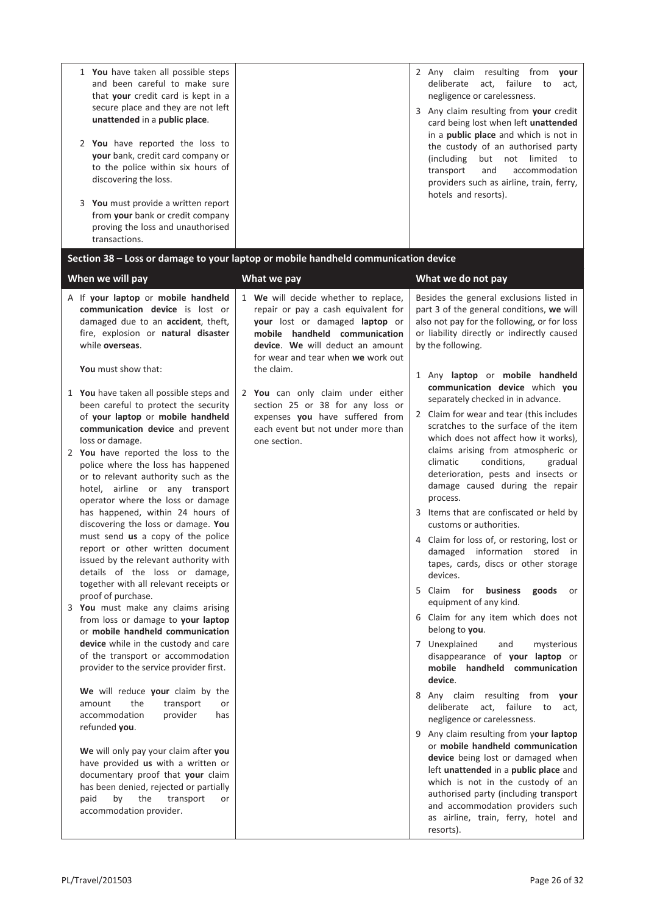| 1 You have taken all possible steps<br>and been careful to make sure<br>that your credit card is kept in a<br>secure place and they are not left<br>unattended in a public place.<br>2 You have reported the loss to<br>your bank, credit card company or<br>to the police within six hours of<br>discovering the loss.<br>3 You must provide a written report<br>from your bank or credit company<br>proving the loss and unauthorised<br>transactions.                                                                                                                                                                                                                                                                                                                                                                                                                                                                                                                                                                                                                                                                                                                                                                                                                                                                                                                                                                                                                       | Section 38 - Loss or damage to your laptop or mobile handheld communication device                                                                                                                                                                                                                                                                                                                       | 2 Any claim resulting from your<br>deliberate<br>act,<br>failure<br>to<br>act,<br>negligence or carelessness.<br>3 Any claim resulting from your credit<br>card being lost when left unattended<br>in a public place and which is not in<br>the custody of an authorised party<br>(including<br>but not limited<br>to<br>and<br>accommodation<br>transport<br>providers such as airline, train, ferry,<br>hotels and resorts).                                                                                                                                                                                                                                                                                                                                                                                                                                                                                                                                                                                                                                                                                                                                                                                                                                                                                                                                                                                                                                                                                          |
|--------------------------------------------------------------------------------------------------------------------------------------------------------------------------------------------------------------------------------------------------------------------------------------------------------------------------------------------------------------------------------------------------------------------------------------------------------------------------------------------------------------------------------------------------------------------------------------------------------------------------------------------------------------------------------------------------------------------------------------------------------------------------------------------------------------------------------------------------------------------------------------------------------------------------------------------------------------------------------------------------------------------------------------------------------------------------------------------------------------------------------------------------------------------------------------------------------------------------------------------------------------------------------------------------------------------------------------------------------------------------------------------------------------------------------------------------------------------------------|----------------------------------------------------------------------------------------------------------------------------------------------------------------------------------------------------------------------------------------------------------------------------------------------------------------------------------------------------------------------------------------------------------|-------------------------------------------------------------------------------------------------------------------------------------------------------------------------------------------------------------------------------------------------------------------------------------------------------------------------------------------------------------------------------------------------------------------------------------------------------------------------------------------------------------------------------------------------------------------------------------------------------------------------------------------------------------------------------------------------------------------------------------------------------------------------------------------------------------------------------------------------------------------------------------------------------------------------------------------------------------------------------------------------------------------------------------------------------------------------------------------------------------------------------------------------------------------------------------------------------------------------------------------------------------------------------------------------------------------------------------------------------------------------------------------------------------------------------------------------------------------------------------------------------------------------|
| When we will pay                                                                                                                                                                                                                                                                                                                                                                                                                                                                                                                                                                                                                                                                                                                                                                                                                                                                                                                                                                                                                                                                                                                                                                                                                                                                                                                                                                                                                                                               | What we pay                                                                                                                                                                                                                                                                                                                                                                                              | What we do not pay                                                                                                                                                                                                                                                                                                                                                                                                                                                                                                                                                                                                                                                                                                                                                                                                                                                                                                                                                                                                                                                                                                                                                                                                                                                                                                                                                                                                                                                                                                      |
| A If your laptop or mobile handheld<br>communication device is lost or<br>damaged due to an accident, theft,<br>fire, explosion or natural disaster<br>while overseas.<br>You must show that:<br>1 You have taken all possible steps and<br>been careful to protect the security<br>of your laptop or mobile handheld<br>communication device and prevent<br>loss or damage.<br>2 You have reported the loss to the<br>police where the loss has happened<br>or to relevant authority such as the<br>hotel, airline or any transport<br>operator where the loss or damage<br>has happened, within 24 hours of<br>discovering the loss or damage. You<br>must send us a copy of the police<br>report or other written document<br>issued by the relevant authority with<br>details of the loss or damage,<br>together with all relevant receipts or<br>proof of purchase.<br>3 You must make any claims arising<br>from loss or damage to your laptop<br>or mobile handheld communication<br>device while in the custody and care<br>of the transport or accommodation<br>provider to the service provider first.<br>We will reduce your claim by the<br>amount<br>the<br>transport<br>or<br>accommodation<br>provider<br>has<br>refunded you.<br>We will only pay your claim after you<br>have provided us with a written or<br>documentary proof that your claim<br>has been denied, rejected or partially<br>paid<br>by<br>the<br>transport<br>or<br>accommodation provider. | 1 We will decide whether to replace,<br>repair or pay a cash equivalent for<br>your lost or damaged laptop or<br>mobile handheld communication<br>device. We will deduct an amount<br>for wear and tear when we work out<br>the claim.<br>2 You can only claim under either<br>section 25 or 38 for any loss or<br>expenses you have suffered from<br>each event but not under more than<br>one section. | Besides the general exclusions listed in<br>part 3 of the general conditions, we will<br>also not pay for the following, or for loss<br>or liability directly or indirectly caused<br>by the following.<br>1 Any laptop or mobile handheld<br>communication device which you<br>separately checked in in advance.<br>2 Claim for wear and tear (this includes<br>scratches to the surface of the item<br>which does not affect how it works),<br>claims arising from atmospheric or<br>conditions,<br>climatic<br>gradual<br>deterioration, pests and insects or<br>damage caused during the repair<br>process.<br>3 Items that are confiscated or held by<br>customs or authorities.<br>4 Claim for loss of, or restoring, lost or<br>damaged information stored in<br>tapes, cards, discs or other storage<br>devices.<br>5 Claim for<br>business<br>goods<br>or<br>equipment of any kind.<br>6 Claim for any item which does not<br>belong to you.<br>7 Unexplained<br>and<br>mysterious<br>disappearance of your laptop or<br>mobile handheld communication<br>device.<br>8 Any claim resulting from your<br>deliberate act, failure<br>to<br>act,<br>negligence or carelessness.<br>9 Any claim resulting from your laptop<br>or mobile handheld communication<br>device being lost or damaged when<br>left unattended in a public place and<br>which is not in the custody of an<br>authorised party (including transport<br>and accommodation providers such<br>as airline, train, ferry, hotel and<br>resorts). |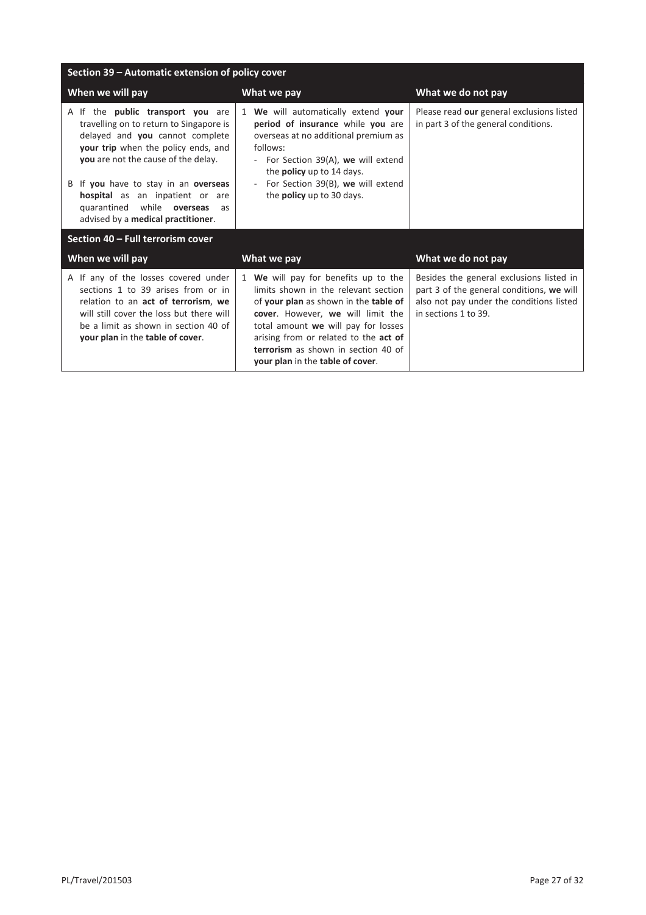| Section 39 - Automatic extension of policy cover                                                                                                                                                                                                                                                                                                          |                                                                                                                                                                                                                                                                                                                       |                                                                                                                                                           |
|-----------------------------------------------------------------------------------------------------------------------------------------------------------------------------------------------------------------------------------------------------------------------------------------------------------------------------------------------------------|-----------------------------------------------------------------------------------------------------------------------------------------------------------------------------------------------------------------------------------------------------------------------------------------------------------------------|-----------------------------------------------------------------------------------------------------------------------------------------------------------|
| When we will pay                                                                                                                                                                                                                                                                                                                                          | What we pay                                                                                                                                                                                                                                                                                                           | What we do not pay                                                                                                                                        |
| A If the <b>public transport you</b> are<br>travelling on to return to Singapore is<br>delayed and you cannot complete<br>your trip when the policy ends, and<br>you are not the cause of the delay.<br>B If you have to stay in an overseas<br>hospital as an inpatient or are<br>quarantined while overseas<br>as<br>advised by a medical practitioner. | 1 We will automatically extend your<br>period of insurance while you are<br>overseas at no additional premium as<br>follows:<br>- For Section 39(A), we will extend<br>the <b>policy</b> up to 14 days.<br>For Section 39(B), we will extend<br>the <b>policy</b> up to 30 days.                                      | Please read our general exclusions listed<br>in part 3 of the general conditions.                                                                         |
| Section 40 - Full terrorism cover                                                                                                                                                                                                                                                                                                                         |                                                                                                                                                                                                                                                                                                                       |                                                                                                                                                           |
| When we will pay                                                                                                                                                                                                                                                                                                                                          | What we pay                                                                                                                                                                                                                                                                                                           | What we do not pay                                                                                                                                        |
| A If any of the losses covered under<br>sections 1 to 39 arises from or in<br>relation to an act of terrorism, we<br>will still cover the loss but there will<br>be a limit as shown in section 40 of<br>your plan in the table of cover.                                                                                                                 | 1 We will pay for benefits up to the<br>limits shown in the relevant section<br>of your plan as shown in the table of<br>cover. However, we will limit the<br>total amount we will pay for losses<br>arising from or related to the act of<br>terrorism as shown in section 40 of<br>your plan in the table of cover. | Besides the general exclusions listed in<br>part 3 of the general conditions, we will<br>also not pay under the conditions listed<br>in sections 1 to 39. |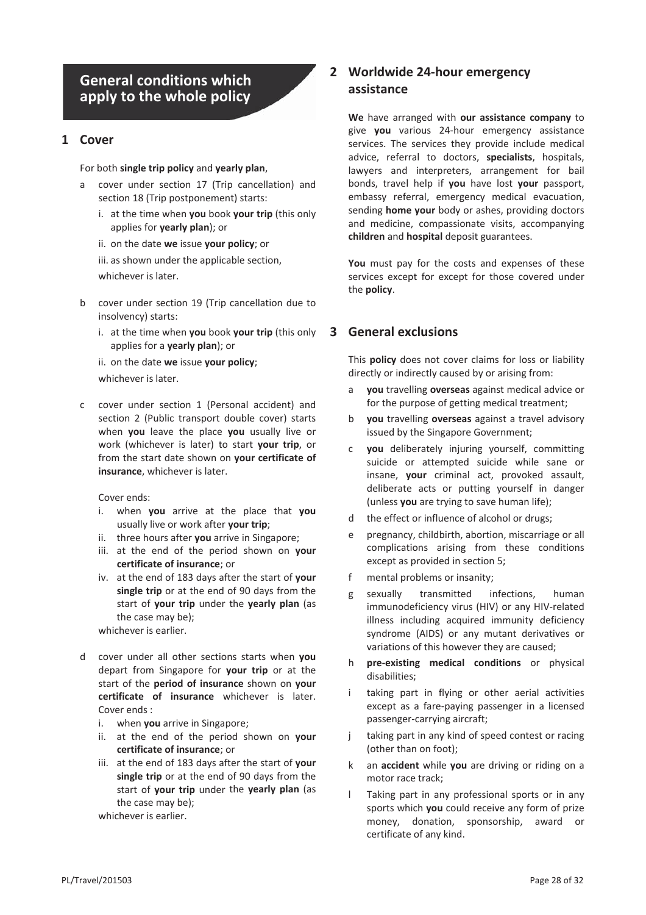# **General conditions which apply to the whole policy**

#### **1 Cover**

#### For both **single trip policy** and **yearly plan**,

- a cover under section 17 (Trip cancellation) and section 18 (Trip postponement) starts:
	- i. at the time when **you** book **your trip** (this only applies for **yearly plan**); or
	- ii. on the date **we** issue **your policy**; or

iii. as shown under the applicable section,

whichever is later.

- b cover under section 19 (Trip cancellation due to insolvency) starts:
	- i. at the time when **you** book **your trip** (this only applies for a **yearly plan**); or

ii. on the date **we** issue **your policy**;

whichever is later.

c cover under section 1 (Personal accident) and section 2 (Public transport double cover) starts when **you** leave the place **you** usually live or work (whichever is later) to start **your trip**, or from the start date shown on **your certificate of insurance**, whichever is later.

Cover ends:

- i. when **you** arrive at the place that **you** usually live or work after **your trip**;
- ii. three hours after **you** arrive in Singapore;
- iii. at the end of the period shown on **your certificate of insurance**; or
- iv. at the end of 183 days after the start of **your single trip** or at the end of 90 days from the start of **your trip** under the **yearly plan** (as the case may be);

whichever is earlier.

- d cover under all other sections starts when **you** depart from Singapore for **your trip** or at the start of the **period of insurance** shown on **your certificate of insurance** whichever is later. Cover ends :
	- i. when **you** arrive in Singapore;
	- ii. at the end of the period shown on **your certificate of insurance**; or
	- iii. at the end of 183 days after the start of **your single trip** or at the end of 90 days from the start of **your trip** under the **yearly plan** (as the case may be);

whichever is earlier.

## **2 Worldwide 24-hour emergency assistance**

**We** have arranged with **our assistance company** to give **you** various 24-hour emergency assistance services. The services they provide include medical advice, referral to doctors, **specialists**, hospitals, lawyers and interpreters, arrangement for bail bonds, travel help if **you** have lost **your** passport, embassy referral, emergency medical evacuation, sending **home your** body or ashes, providing doctors and medicine, compassionate visits, accompanying **children** and **hospital** deposit guarantees.

**You** must pay for the costs and expenses of these services except for except for those covered under the **policy**.

## **3 General exclusions**

This **policy** does not cover claims for loss or liability directly or indirectly caused by or arising from:

- a **you** travelling **overseas** against medical advice or for the purpose of getting medical treatment;
- b **you** travelling **overseas** against a travel advisory issued by the Singapore Government;
- c **you** deliberately injuring yourself, committing suicide or attempted suicide while sane or insane, **your** criminal act, provoked assault, deliberate acts or putting yourself in danger (unless **you** are trying to save human life);
- d the effect or influence of alcohol or drugs;
- e pregnancy, childbirth, abortion, miscarriage or all complications arising from these conditions except as provided in section 5;
- f mental problems or insanity;
- g sexually transmitted infections, human immunodeficiency virus (HIV) or any HIV-related illness including acquired immunity deficiency syndrome (AIDS) or any mutant derivatives or variations of this however they are caused;
- h **pre-existing medical conditions** or physical disabilities;
- i taking part in flying or other aerial activities except as a fare-paying passenger in a licensed passenger-carrying aircraft;
- j taking part in any kind of speed contest or racing (other than on foot);
- k an **accident** while **you** are driving or riding on a motor race track;
- l Taking part in any professional sports or in any sports which **you** could receive any form of prize money, donation, sponsorship, award or certificate of any kind.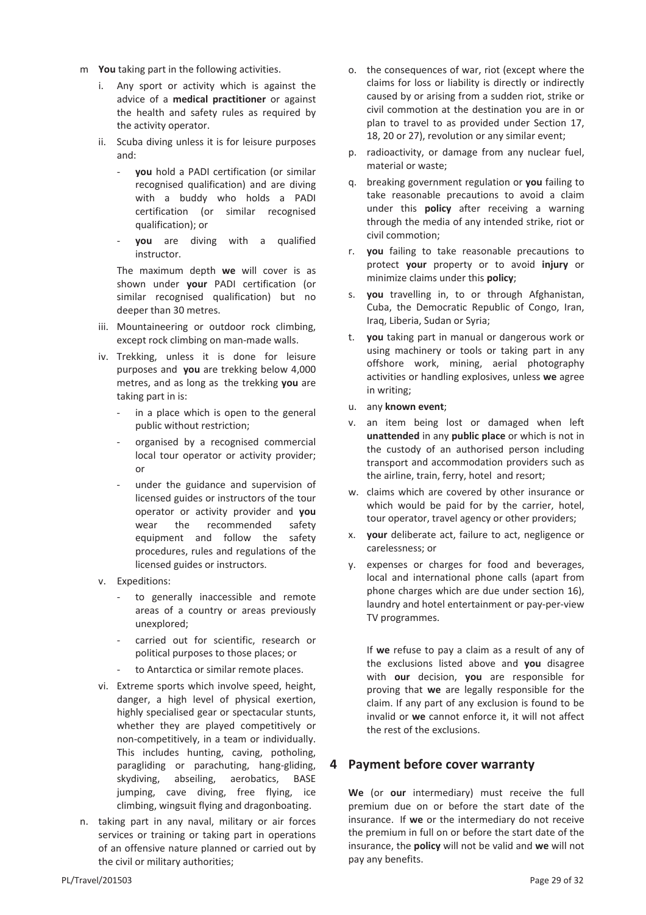- m **You** taking part in the following activities.
	- i. Any sport or activity which is against the advice of a **medical practitioner** or against the health and safety rules as required by the activity operator.
	- ii. Scuba diving unless it is for leisure purposes and:
		- **you** hold a PADI certification (or similar recognised qualification) and are diving with a buddy who holds a PADI certification (or similar recognised qualification); or
		- **you** are diving with a qualified instructor.

The maximum depth **we** will cover is as shown under **your** PADI certification (or similar recognised qualification) but no deeper than 30 metres.

- iii. Mountaineering or outdoor rock climbing, except rock climbing on man-made walls.
- iv. Trekking, unless it is done for leisure purposes and **you** are trekking below 4,000 metres, and as long as the trekking **you** are taking part in is:
	- in a place which is open to the general public without restriction;
	- organised by a recognised commercial local tour operator or activity provider; or
	- under the guidance and supervision of licensed guides or instructors of the tour operator or activity provider and **you** wear the recommended safety equipment and follow the safety procedures, rules and regulations of the licensed guides or instructors.
- v. Expeditions:
	- to generally inaccessible and remote areas of a country or areas previously unexplored;
	- carried out for scientific, research or political purposes to those places; or
	- to Antarctica or similar remote places.
- vi. Extreme sports which involve speed, height, danger, a high level of physical exertion, highly specialised gear or spectacular stunts, whether they are played competitively or non-competitively, in a team or individually. This includes hunting, caving, potholing, paragliding or parachuting, hang-gliding, skydiving, abseiling, aerobatics, BASE jumping, cave diving, free flying, ice climbing, wingsuit flying and dragonboating.
- n. taking part in any naval, military or air forces services or training or taking part in operations of an offensive nature planned or carried out by the civil or military authorities;
- o. the consequences of war, riot (except where the claims for loss or liability is directly or indirectly caused by or arising from a sudden riot, strike or civil commotion at the destination you are in or plan to travel to as provided under Section 17, 18, 20 or 27), revolution or any similar event;
- p. radioactivity, or damage from any nuclear fuel, material or waste;
- q. breaking government regulation or **you** failing to take reasonable precautions to avoid a claim under this **policy** after receiving a warning through the media of any intended strike, riot or civil commotion;
- r. **you** failing to take reasonable precautions to protect **your** property or to avoid **injury** or minimize claims under this **policy**;
- s. **you** travelling in, to or through Afghanistan, Cuba, the Democratic Republic of Congo, Iran, Iraq, Liberia, Sudan or Syria;
- t. **you** taking part in manual or dangerous work or using machinery or tools or taking part in any offshore work, mining, aerial photography activities or handling explosives, unless **we** agree in writing;
- u. any **known event**;
- v. an item being lost or damaged when left **unattended** in any **public place** or which is not in the custody of an authorised person including transport and accommodation providers such as the airline, train, ferry, hotel and resort;
- w. claims which are covered by other insurance or which would be paid for by the carrier, hotel, tour operator, travel agency or other providers;
- x. **your** deliberate act, failure to act, negligence or carelessness; or
- y. expenses or charges for food and beverages, local and international phone calls (apart from phone charges which are due under section 16), laundry and hotel entertainment or pay-per-view TV programmes.

If **we** refuse to pay a claim as a result of any of the exclusions listed above and **you** disagree with **our** decision, **you** are responsible for proving that **we** are legally responsible for the claim. If any part of any exclusion is found to be invalid or **we** cannot enforce it, it will not affect the rest of the exclusions.

## **4 Payment before cover warranty**

**We** (or **our** intermediary) must receive the full premium due on or before the start date of the insurance. If **we** or the intermediary do not receive the premium in full on or before the start date of the insurance, the **policy** will not be valid and **we** will not pay any benefits.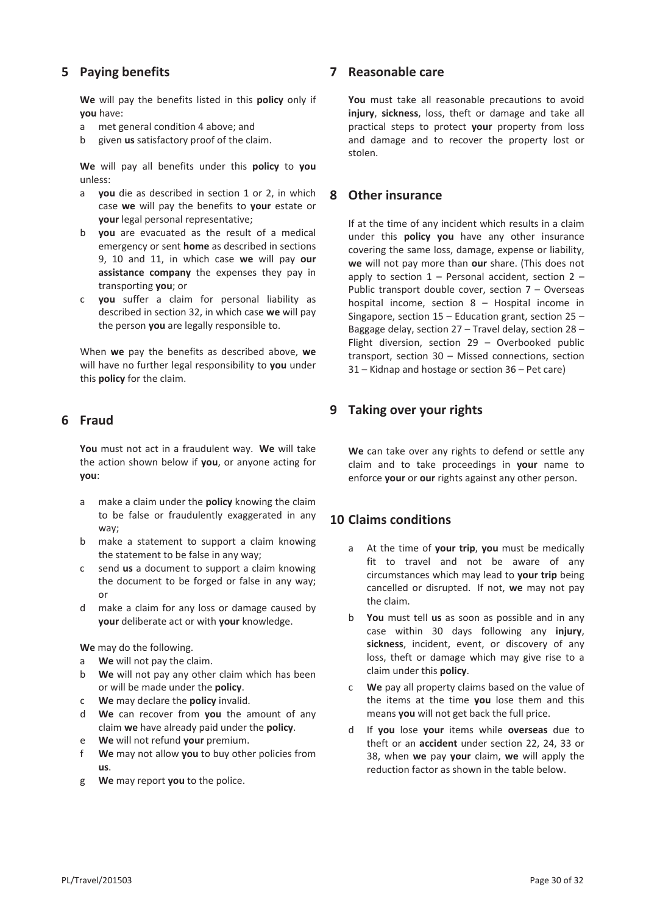## **5 Paying benefits**

**We** will pay the benefits listed in this **policy** only if **you** have:

- a met general condition 4 above; and
- b given **us** satisfactory proof of the claim.

**We** will pay all benefits under this **policy** to **you** unless:

- a **you** die as described in section 1 or 2, in which case **we** will pay the benefits to **your** estate or **your** legal personal representative;
- b **you** are evacuated as the result of a medical emergency or sent **home** as described in sections 9, 10 and 11, in which case **we** will pay **our assistance company** the expenses they pay in transporting **you**; or
- c **you** suffer a claim for personal liability as described in section 32, in which case **we** will pay the person **you** are legally responsible to.

When **we** pay the benefits as described above, **we** will have no further legal responsibility to **you** under this **policy** for the claim.

## **6 Fraud**

**You** must not act in a fraudulent way. **We** will take the action shown below if **you**, or anyone acting for **you**:

- a make a claim under the **policy** knowing the claim to be false or fraudulently exaggerated in any way;
- b make a statement to support a claim knowing the statement to be false in any way;
- c send **us** a document to support a claim knowing the document to be forged or false in any way; or
- d make a claim for any loss or damage caused by **your** deliberate act or with **your** knowledge.

**We** may do the following.

- a **We** will not pay the claim.
- b **We** will not pay any other claim which has been or will be made under the **policy**.
- c **We** may declare the **policy** invalid.
- d **We** can recover from **you** the amount of any claim **we** have already paid under the **policy**.
- e **We** will not refund **your** premium.
- f **We** may not allow **you** to buy other policies from **us**.
- g **We** may report **you** to the police.

#### **7 Reasonable care**

**You** must take all reasonable precautions to avoid **injury**, **sickness**, loss, theft or damage and take all practical steps to protect **your** property from loss and damage and to recover the property lost or stolen.

#### **8 Other insurance**

If at the time of any incident which results in a claim under this **policy you** have any other insurance covering the same loss, damage, expense or liability, **we** will not pay more than **our** share. (This does not apply to section  $1$  – Personal accident, section  $2$  – Public transport double cover, section 7 – Overseas hospital income, section 8 – Hospital income in Singapore, section 15 – Education grant, section 25 – Baggage delay, section 27 – Travel delay, section 28 – Flight diversion, section 29 – Overbooked public transport, section 30 – Missed connections, section 31 – Kidnap and hostage or section 36 – Pet care)

## **9 Taking over your rights**

**We** can take over any rights to defend or settle any claim and to take proceedings in **your** name to enforce **your** or **our** rights against any other person.

## **10 Claims conditions**

- a At the time of **your trip**, **you** must be medically fit to travel and not be aware of any circumstances which may lead to **your trip** being cancelled or disrupted. If not, **we** may not pay the claim.
- b **You** must tell **us** as soon as possible and in any case within 30 days following any **injury**, **sickness**, incident, event, or discovery of any loss, theft or damage which may give rise to a claim under this **policy**.
- c **We** pay all property claims based on the value of the items at the time **you** lose them and this means **you** will not get back the full price.
- d If **you** lose **your** items while **overseas** due to theft or an **accident** under section 22, 24, 33 or 38, when **we** pay **your** claim, **we** will apply the reduction factor as shown in the table below.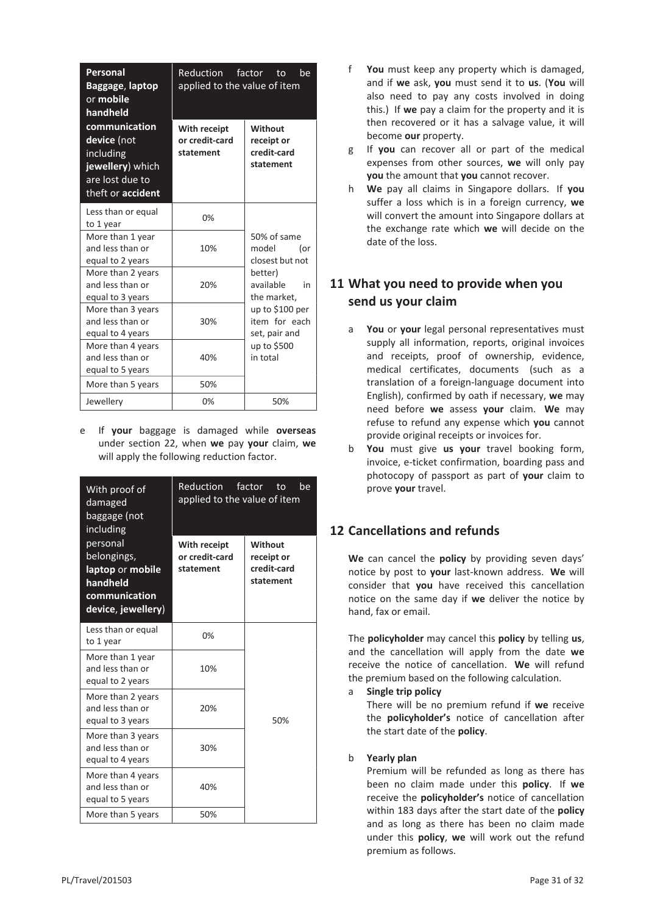| Personal<br>Baggage, laptop<br>or mobile<br>handheld                                                         | Reduction factor to<br>be<br>applied to the value of item |                                                                                                |
|--------------------------------------------------------------------------------------------------------------|-----------------------------------------------------------|------------------------------------------------------------------------------------------------|
| communication<br>device (not<br>including<br>jewellery) which<br>are lost due to<br>theft or <b>accident</b> | With receipt<br>or credit-card<br>statement               | Without<br>receipt or<br>credit-card<br>statement                                              |
| Less than or equal<br>to 1 year                                                                              | 0%                                                        |                                                                                                |
| More than 1 year<br>and less than or<br>equal to 2 years                                                     | 10%                                                       | 50% of same<br>model<br>(or<br>closest but not                                                 |
| More than 2 years<br>and less than or<br>equal to 3 years                                                    | 20%                                                       | better)<br>available<br>in<br>the market,<br>up to \$100 per<br>item for each<br>set, pair and |
| More than 3 years<br>and less than or<br>equal to 4 years                                                    | 30%                                                       |                                                                                                |
| More than 4 years<br>and less than or<br>equal to 5 years                                                    | 40%                                                       | up to \$500<br>in total                                                                        |
| More than 5 years                                                                                            | 50%                                                       |                                                                                                |
| Jewellery                                                                                                    | 0%                                                        | 50%                                                                                            |

e If **your** baggage is damaged while **overseas** under section 22, when **we** pay **your** claim, **we** will apply the following reduction factor.

| With proof of<br>damaged<br>baggage (not<br>including                                          | Reduction factor to<br>he<br>applied to the value of item |                                                   |
|------------------------------------------------------------------------------------------------|-----------------------------------------------------------|---------------------------------------------------|
| personal<br>belongings,<br>laptop or mobile<br>handheld<br>communication<br>device, jewellery) | With receipt<br>or credit-card<br>statement               | Without<br>receipt or<br>credit-card<br>statement |
| Less than or equal<br>to 1 year                                                                | 0%                                                        |                                                   |
| More than 1 year<br>and less than or<br>equal to 2 years                                       | 10%                                                       |                                                   |
| More than 2 years<br>and less than or<br>equal to 3 years                                      | 20%                                                       | 50%                                               |
| More than 3 years<br>and less than or<br>equal to 4 years                                      | 30%                                                       |                                                   |
| More than 4 years<br>and less than or<br>equal to 5 years                                      | 40%                                                       |                                                   |
| More than 5 years                                                                              | 50%                                                       |                                                   |

- f **You** must keep any property which is damaged, and if **we** ask, **you** must send it to **us**. (**You** will also need to pay any costs involved in doing this.) If **we** pay a claim for the property and it is then recovered or it has a salvage value, it will become **our** property.
- g If **you** can recover all or part of the medical expenses from other sources, **we** will only pay **you** the amount that **you** cannot recover.
- h **We** pay all claims in Singapore dollars. If **you** suffer a loss which is in a foreign currency, **we** will convert the amount into Singapore dollars at the exchange rate which **we** will decide on the date of the loss.

## **11 What you need to provide when you send us your claim**

- a **You** or **your** legal personal representatives must supply all information, reports, original invoices and receipts, proof of ownership, evidence, medical certificates, documents (such as a translation of a foreign-language document into English), confirmed by oath if necessary, **we** may need before **we** assess **your** claim. **We** may refuse to refund any expense which **you** cannot provide original receipts or invoices for.
- b **You** must give **us your** travel booking form, invoice, e-ticket confirmation, boarding pass and photocopy of passport as part of **your** claim to prove **your** travel.

# **12 Cancellations and refunds**

**We** can cancel the **policy** by providing seven days' notice by post to **your** last-known address. **We** will consider that **you** have received this cancellation notice on the same day if **we** deliver the notice by hand, fax or email.

The **policyholder** may cancel this **policy** by telling **us**, and the cancellation will apply from the date **we** receive the notice of cancellation. **We** will refund the premium based on the following calculation.

a **Single trip policy**

There will be no premium refund if **we** receive the **policyholder's** notice of cancellation after the start date of the **policy**.

## b **Yearly plan**

Premium will be refunded as long as there has been no claim made under this **policy**. If **we** receive the **policyholder's** notice of cancellation within 183 days after the start date of the **policy** and as long as there has been no claim made under this **policy**, **we** will work out the refund premium as follows.